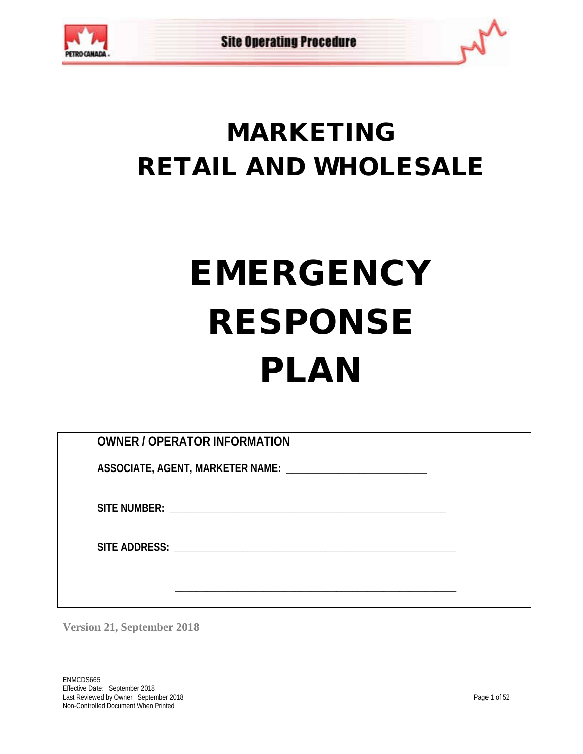

## MARKETING RETAIL AND WHOLESALE

# EMERGENCY RESPONSE PLAN

| <b>OWNER / OPERATOR INFORMATION</b>                           |  |
|---------------------------------------------------------------|--|
| ASSOCIATE, AGENT, MARKETER NAME: ____________________________ |  |
|                                                               |  |
|                                                               |  |
|                                                               |  |
|                                                               |  |
|                                                               |  |
|                                                               |  |

**Version 21, September 2018**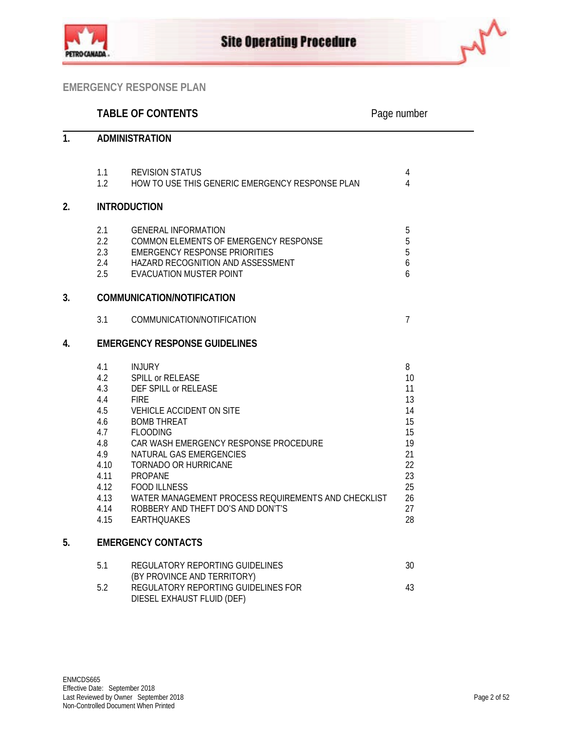



|                |                                                                                                             | <b>TABLE OF CONTENTS</b>                                                                                                                                                                                                                                                                                                                                                                       | Page number                                                                           |
|----------------|-------------------------------------------------------------------------------------------------------------|------------------------------------------------------------------------------------------------------------------------------------------------------------------------------------------------------------------------------------------------------------------------------------------------------------------------------------------------------------------------------------------------|---------------------------------------------------------------------------------------|
| 1 <sub>1</sub> |                                                                                                             | <b>ADMINISTRATION</b>                                                                                                                                                                                                                                                                                                                                                                          |                                                                                       |
|                | 1.1<br>1.2                                                                                                  | <b>REVISION STATUS</b><br>HOW TO USE THIS GENERIC EMERGENCY RESPONSE PLAN                                                                                                                                                                                                                                                                                                                      | $\overline{4}$<br>4                                                                   |
| 2.             |                                                                                                             | <b>INTRODUCTION</b>                                                                                                                                                                                                                                                                                                                                                                            |                                                                                       |
|                | 2.1<br>$2.2^{\circ}$<br>2.3<br>2.4<br>2.5                                                                   | <b>GENERAL INFORMATION</b><br>COMMON ELEMENTS OF EMERGENCY RESPONSE<br><b>EMERGENCY RESPONSE PRIORITIES</b><br>HAZARD RECOGNITION AND ASSESSMENT<br><b>EVACUATION MUSTER POINT</b>                                                                                                                                                                                                             | $\overline{5}$<br>$\overline{5}$<br>5<br>6<br>6                                       |
| 3.             |                                                                                                             | COMMUNICATION/NOTIFICATION                                                                                                                                                                                                                                                                                                                                                                     |                                                                                       |
|                | 3.1                                                                                                         | COMMUNICATION/NOTIFICATION                                                                                                                                                                                                                                                                                                                                                                     | $\overline{7}$                                                                        |
| 4.             |                                                                                                             | <b>EMERGENCY RESPONSE GUIDELINES</b>                                                                                                                                                                                                                                                                                                                                                           |                                                                                       |
|                | 4.1<br>4.2<br>4.3<br>4.4<br>4.5<br>4.6<br>4.7<br>4.8<br>4.9<br>4.10<br>4.11<br>4.12<br>4.13<br>4.14<br>4.15 | <b>INJURY</b><br>SPILL or RELEASE<br>DEF SPILL or RELEASE<br><b>FIRE</b><br>VEHICLE ACCIDENT ON SITE<br><b>BOMB THREAT</b><br><b>FLOODING</b><br>CAR WASH EMERGENCY RESPONSE PROCEDURE<br>NATURAL GAS EMERGENCIES<br>TORNADO OR HURRICANE<br>PROPANE<br><b>FOOD ILLNESS</b><br>WATER MANAGEMENT PROCESS REQUIREMENTS AND CHECKLIST<br>ROBBERY AND THEFT DO'S AND DON'T'S<br><b>EARTHOUAKES</b> | 8<br>10<br>11<br>13<br>14<br>15<br>15<br>19<br>21<br>22<br>23<br>25<br>26<br>27<br>28 |
| 5.             |                                                                                                             | <b>EMERGENCY CONTACTS</b>                                                                                                                                                                                                                                                                                                                                                                      |                                                                                       |
|                | 5.1                                                                                                         | REGULATORY REPORTING GUIDELINES<br>OV DDOVINGE AND TEDDITODV)                                                                                                                                                                                                                                                                                                                                  | 30                                                                                    |

| J.I | INLOULATURT INLI URTIINU UUIDLEINLU | IJU |
|-----|-------------------------------------|-----|
|     | (BY PROVINCE AND TERRITORY)         |     |
| 5.2 | REGULATORY REPORTING GUIDELINES FOR | 43  |
|     | DIESEL EXHAUST FLUID (DEF)          |     |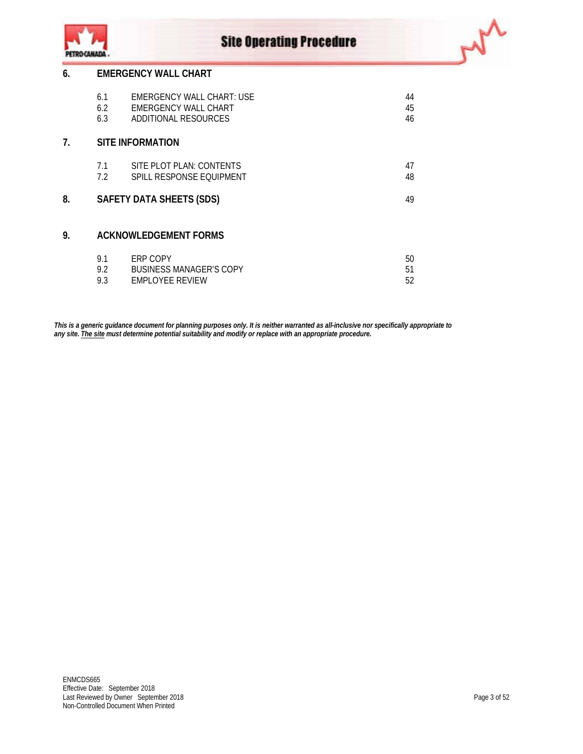



|    | 6.1 | EMERGENCY WALL CHART: USE    | 44             |
|----|-----|------------------------------|----------------|
|    | 6.2 | EMERGENCY WALL CHART         | 45             |
|    | 6.3 | ADDITIONAL RESOURCES         | 46             |
| 7. |     | <b>SITE INFORMATION</b>      |                |
|    | 7.1 | SITE PLOT PLAN: CONTENTS     | 47             |
|    | 7.2 | SPILL RESPONSE EOUIPMENT     | 48             |
| 8. |     | SAFETY DATA SHEETS (SDS)     | 49             |
| 9. |     | <b>ACKNOWLEDGEMENT FORMS</b> |                |
|    | 9.1 | ERP COPY                     | 50             |
|    | റി  | DHCINECC MANIACED'S CODV     | E <sub>1</sub> |

| 9.2 | BUSINESS MANAGER'S COPY |  |
|-----|-------------------------|--|
| 9.3 | <b>FMPLOYFF REVIEW</b>  |  |

*This is a generic guidance document for planning purposes only. It is neither warranted as all-inclusive nor specifically appropriate to any site. The site must determine potential suitability and modify or replace with an appropriate procedure.*

wh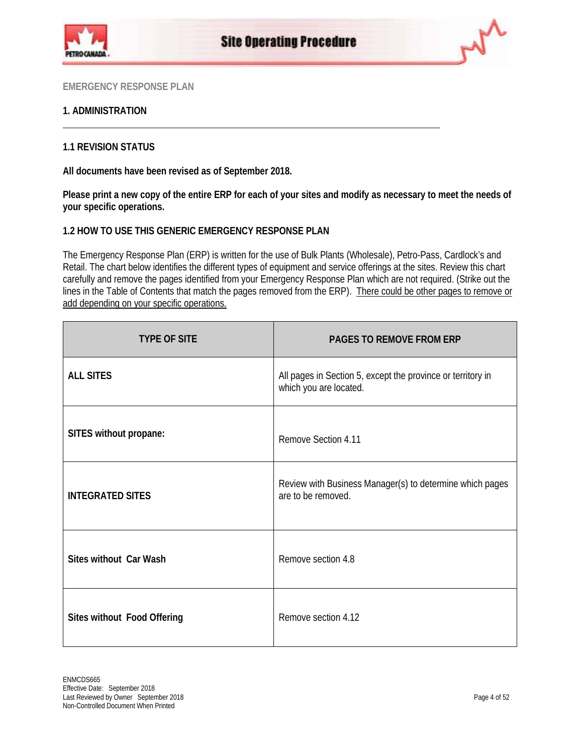



## **1. ADMINISTRATION**

## **1.1 REVISION STATUS**

**All documents have been revised as of September 2018.**

**Please print a new copy of the entire ERP for each of your sites and modify as necessary to meet the needs of your specific operations.**

## **1.2 HOW TO USE THIS GENERIC EMERGENCY RESPONSE PLAN**

The Emergency Response Plan (ERP) is written for the use of Bulk Plants (Wholesale), Petro-Pass, Cardlock's and Retail. The chart below identifies the different types of equipment and service offerings at the sites. Review this chart carefully and remove the pages identified from your Emergency Response Plan which are not required. (Strike out the lines in the Table of Contents that match the pages removed from the ERP). There could be other pages to remove or add depending on your specific operations.

| <b>TYPE OF SITE</b>         | PAGES TO REMOVE FROM ERP                                                              |
|-----------------------------|---------------------------------------------------------------------------------------|
| <b>ALL SITES</b>            | All pages in Section 5, except the province or territory in<br>which you are located. |
| SITES without propane:      | Remove Section 4.11                                                                   |
| <b>INTEGRATED SITES</b>     | Review with Business Manager(s) to determine which pages<br>are to be removed.        |
| Sites without Car Wash      | Remove section 4.8                                                                    |
| Sites without Food Offering | Remove section 4.12                                                                   |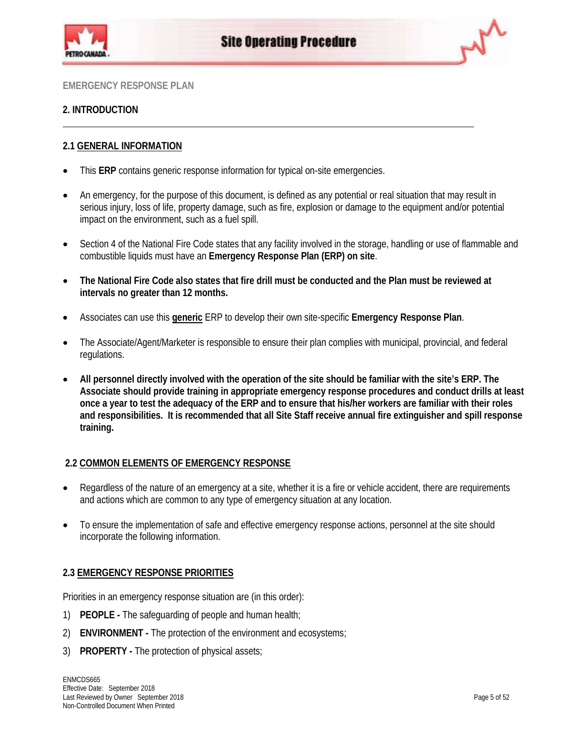



## **2. INTRODUCTION**

## **2.1 GENERAL INFORMATION**

- This **ERP** contains generic response information for typical on-site emergencies.
- An emergency, for the purpose of this document, is defined as any potential or real situation that may result in serious injury, loss of life, property damage, such as fire, explosion or damage to the equipment and/or potential impact on the environment, such as a fuel spill.
- Section 4 of the National Fire Code states that any facility involved in the storage, handling or use of flammable and combustible liquids must have an **Emergency Response Plan (ERP) on site**.
- **The National Fire Code also states that fire drill must be conducted and the Plan must be reviewed at intervals no greater than 12 months.**
- Associates can use this **generic** ERP to develop their own site-specific **Emergency Response Plan**.
- The Associate/Agent/Marketer is responsible to ensure their plan complies with municipal, provincial, and federal regulations.
- **All personnel directly involved with the operation of the site should be familiar with the site's ERP. The Associate should provide training in appropriate emergency response procedures and conduct drills at least once a year to test the adequacy of the ERP and to ensure that his/her workers are familiar with their roles and responsibilities. It is recommended that all Site Staff receive annual fire extinguisher and spill response training.**

## **2.2 COMMON ELEMENTS OF EMERGENCY RESPONSE**

- Regardless of the nature of an emergency at a site, whether it is a fire or vehicle accident, there are requirements and actions which are common to any type of emergency situation at any location.
- To ensure the implementation of safe and effective emergency response actions, personnel at the site should incorporate the following information.

## **2.3 EMERGENCY RESPONSE PRIORITIES**

Priorities in an emergency response situation are (in this order):

- 1) **PEOPLE -** The safeguarding of people and human health;
- 2) **ENVIRONMENT -** The protection of the environment and ecosystems;
- 3) **PROPERTY -** The protection of physical assets;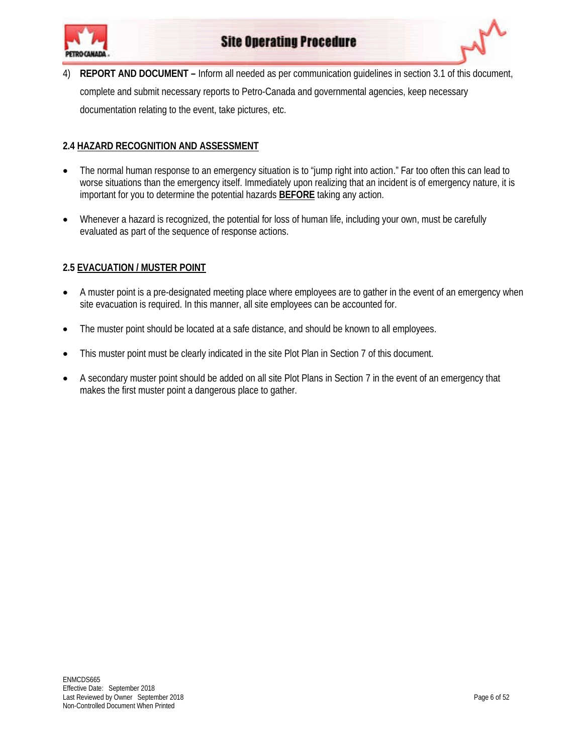

4) **REPORT AND DOCUMENT –** Inform all needed as per communication guidelines in section 3.1 of this document, complete and submit necessary reports to Petro-Canada and governmental agencies, keep necessary documentation relating to the event, take pictures, etc.

## **2.4 HAZARD RECOGNITION AND ASSESSMENT**

- The normal human response to an emergency situation is to "jump right into action." Far too often this can lead to worse situations than the emergency itself. Immediately upon realizing that an incident is of emergency nature, it is important for you to determine the potential hazards **BEFORE** taking any action.
- Whenever a hazard is recognized, the potential for loss of human life, including your own, must be carefully evaluated as part of the sequence of response actions.

## **2.5 EVACUATION / MUSTER POINT**

- A muster point is a pre-designated meeting place where employees are to gather in the event of an emergency when site evacuation is required. In this manner, all site employees can be accounted for.
- The muster point should be located at a safe distance, and should be known to all employees.
- This muster point must be clearly indicated in the site Plot Plan in Section 7 of this document.
- A secondary muster point should be added on all site Plot Plans in Section 7 in the event of an emergency that makes the first muster point a dangerous place to gather.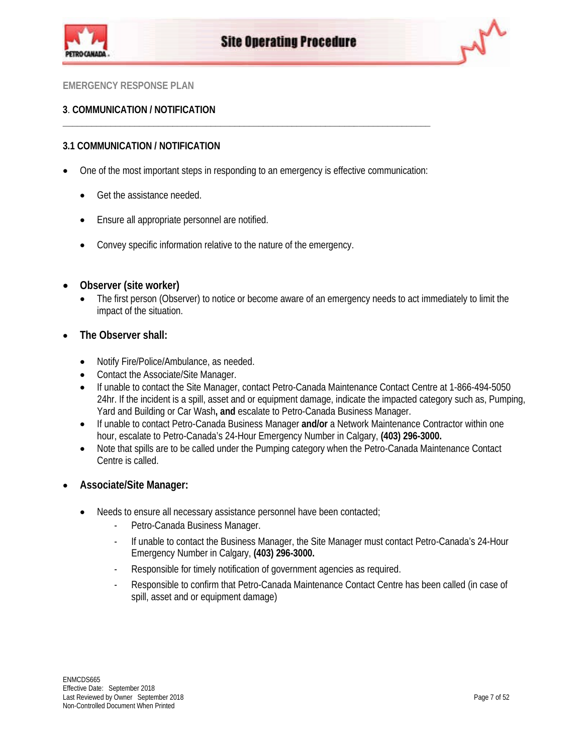



## **3**. **COMMUNICATION / NOTIFICATION**

## **3.1 COMMUNICATION / NOTIFICATION**

• One of the most important steps in responding to an emergency is effective communication:

**\_\_\_\_\_\_\_\_\_\_\_\_\_\_\_\_\_\_\_\_\_\_\_\_\_\_\_\_\_\_\_\_\_\_\_\_\_\_\_\_\_\_\_\_\_\_\_\_\_\_\_\_\_\_\_\_\_\_\_\_\_\_\_\_\_\_\_\_\_\_\_\_\_\_\_\_\_**

- Get the assistance needed.
- Ensure all appropriate personnel are notified.
- Convey specific information relative to the nature of the emergency.
- **Observer (site worker)**
	- The first person (Observer) to notice or become aware of an emergency needs to act immediately to limit the impact of the situation.
- **The Observer shall:**
	- Notify Fire/Police/Ambulance, as needed.
	- Contact the Associate/Site Manager.
	- If unable to contact the Site Manager, contact Petro-Canada Maintenance Contact Centre at 1-866-494-5050 24hr. If the incident is a spill, asset and or equipment damage, indicate the impacted category such as, Pumping, Yard and Building or Car Wash**, and** escalate to Petro-Canada Business Manager.
	- If unable to contact Petro-Canada Business Manager **and/or** a Network Maintenance Contractor within one hour, escalate to Petro-Canada's 24-Hour Emergency Number in Calgary, **(403) 296-3000.**
	- Note that spills are to be called under the Pumping category when the Petro-Canada Maintenance Contact Centre is called.
- **Associate/Site Manager:**
	- Needs to ensure all necessary assistance personnel have been contacted;
		- Petro-Canada Business Manager.
		- If unable to contact the Business Manager, the Site Manager must contact Petro-Canada's 24-Hour Emergency Number in Calgary, **(403) 296-3000.**
		- Responsible for timely notification of government agencies as required.
		- Responsible to confirm that Petro-Canada Maintenance Contact Centre has been called (in case of spill, asset and or equipment damage)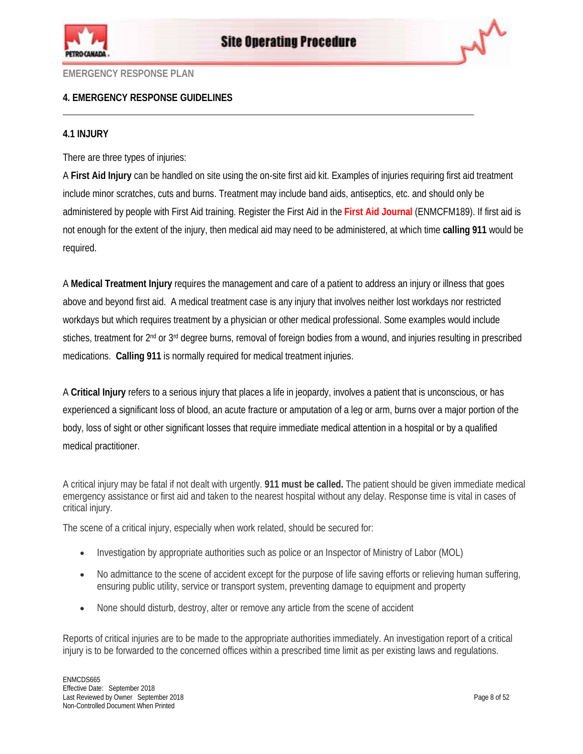



## **4. EMERGENCY RESPONSE GUIDELINES**

## **4.1 INJURY**

There are three types of injuries:

A **First Aid Injury** can be handled on site using the on-site first aid kit. Examples of injuries requiring first aid treatment include minor scratches, cuts and burns. Treatment may include band aids, antiseptics, etc. and should only be administered by people with First Aid training. Register the First Aid in the **[First Aid Journal](http://pcagateway.network.lan/EN/SOP/Lists/SOPDocuments/ENMCFM189.doc)** (ENMCFM189). If first aid is not enough for the extent of the injury, then medical aid may need to be administered, at which time **calling 911** would be required.

A **Medical Treatment Injury** requires the management and care of a patient to address an injury or illness that goes above and beyond first aid. A medical treatment case is any injury that involves neither lost workdays nor restricted workdays but which requires treatment by a physician or other medical professional. Some examples would include stiches, treatment for 2<sup>nd</sup> or 3<sup>rd</sup> degree burns, removal of foreign bodies from a wound, and injuries resulting in prescribed medications. **Calling 911** is normally required for medical treatment injuries.

A **Critical Injury** refers to a serious injury that places a life in jeopardy, involves a patient that is unconscious, or has experienced a significant loss of blood, an acute fracture or amputation of a leg or arm, burns over a major portion of the body, loss of sight or other significant losses that require immediate medical attention in a hospital or by a qualified medical practitioner.

A critical injury may be fatal if not dealt with urgently. **911 must be called.** The patient should be given immediate medical emergency assistance or first aid and taken to the nearest hospital without any delay. Response time is vital in cases of critical injury.

The scene of a critical injury, especially when work related, should be secured for:

- Investigation by appropriate authorities such as police or an Inspector of Ministry of Labor (MOL)
- No admittance to the scene of accident except for the purpose of life saving efforts or relieving human suffering, ensuring public utility, service or transport system, preventing damage to equipment and property
- None should disturb, destroy, alter or remove any article from the scene of accident

Reports of critical injuries are to be made to the appropriate authorities immediately. An investigation report of a critical injury is to be forwarded to the concerned offices within a prescribed time limit as per existing laws and regulations.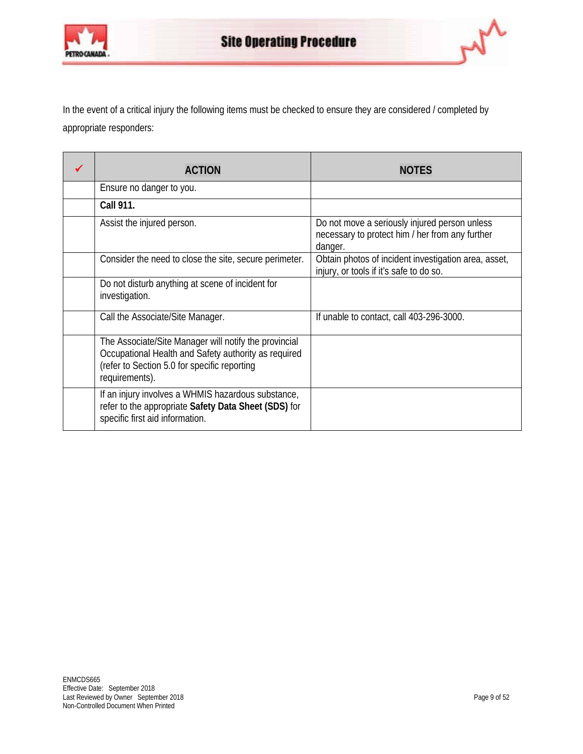



In the event of a critical injury the following items must be checked to ensure they are considered / completed by appropriate responders:

| <b>ACTION</b>                                                                                                                                                                   | <b>NOTES</b>                                                                                                |
|---------------------------------------------------------------------------------------------------------------------------------------------------------------------------------|-------------------------------------------------------------------------------------------------------------|
| Ensure no danger to you.                                                                                                                                                        |                                                                                                             |
| <b>Call 911.</b>                                                                                                                                                                |                                                                                                             |
| Assist the injured person.                                                                                                                                                      | Do not move a seriously injured person unless<br>necessary to protect him / her from any further<br>danger. |
| Consider the need to close the site, secure perimeter.                                                                                                                          | Obtain photos of incident investigation area, asset,<br>injury, or tools if it's safe to do so.             |
| Do not disturb anything at scene of incident for<br>investigation.                                                                                                              |                                                                                                             |
| Call the Associate/Site Manager.                                                                                                                                                | If unable to contact, call 403-296-3000.                                                                    |
| The Associate/Site Manager will notify the provincial<br>Occupational Health and Safety authority as required<br>(refer to Section 5.0 for specific reporting<br>requirements). |                                                                                                             |
| If an injury involves a WHMIS hazardous substance,<br>refer to the appropriate Safety Data Sheet (SDS) for<br>specific first aid information.                                   |                                                                                                             |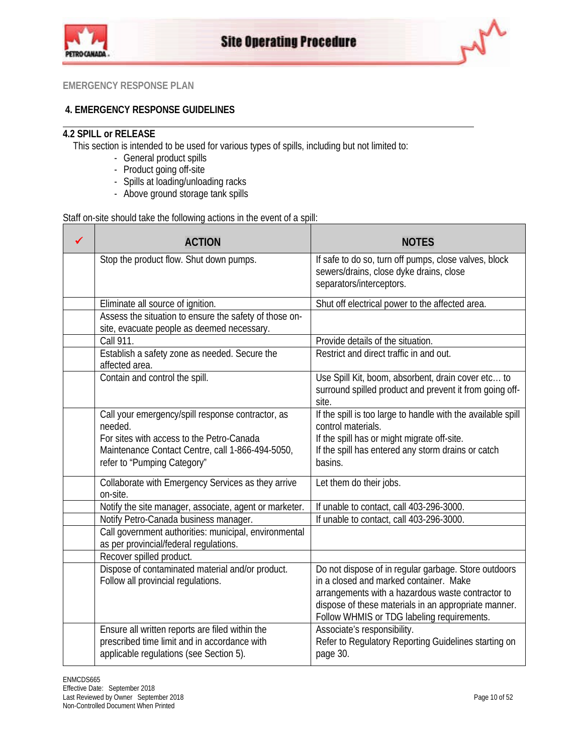



## **4. EMERGENCY RESPONSE GUIDELINES**

## **4.2 SPILL or RELEASE**

This section is intended to be used for various types of spills, including but not limited to:

- General product spills
- Product going off-site
- Spills at loading/unloading racks
- Above ground storage tank spills

Staff on-site should take the following actions in the event of a spill:

| ✔ | <b>ACTION</b>                                                                                                                                                                                | <b>NOTES</b>                                                                                                                                                                                                                                              |
|---|----------------------------------------------------------------------------------------------------------------------------------------------------------------------------------------------|-----------------------------------------------------------------------------------------------------------------------------------------------------------------------------------------------------------------------------------------------------------|
|   | Stop the product flow. Shut down pumps.                                                                                                                                                      | If safe to do so, turn off pumps, close valves, block<br>sewers/drains, close dyke drains, close<br>separators/interceptors.                                                                                                                              |
|   | Eliminate all source of ignition.                                                                                                                                                            | Shut off electrical power to the affected area.                                                                                                                                                                                                           |
|   | Assess the situation to ensure the safety of those on-<br>site, evacuate people as deemed necessary.                                                                                         |                                                                                                                                                                                                                                                           |
|   | Call 911.                                                                                                                                                                                    | Provide details of the situation.                                                                                                                                                                                                                         |
|   | Establish a safety zone as needed. Secure the<br>affected area.                                                                                                                              | Restrict and direct traffic in and out.                                                                                                                                                                                                                   |
|   | Contain and control the spill.                                                                                                                                                               | Use Spill Kit, boom, absorbent, drain cover etc to<br>surround spilled product and prevent it from going off-<br>site.                                                                                                                                    |
|   | Call your emergency/spill response contractor, as<br>needed.<br>For sites with access to the Petro-Canada<br>Maintenance Contact Centre, call 1-866-494-5050,<br>refer to "Pumping Category" | If the spill is too large to handle with the available spill<br>control materials.<br>If the spill has or might migrate off-site.<br>If the spill has entered any storm drains or catch<br>basins.                                                        |
|   | Collaborate with Emergency Services as they arrive<br>on-site.                                                                                                                               | Let them do their jobs.                                                                                                                                                                                                                                   |
|   | Notify the site manager, associate, agent or marketer.                                                                                                                                       | If unable to contact, call 403-296-3000.                                                                                                                                                                                                                  |
|   | Notify Petro-Canada business manager.                                                                                                                                                        | If unable to contact, call 403-296-3000.                                                                                                                                                                                                                  |
|   | Call government authorities: municipal, environmental<br>as per provincial/federal regulations.                                                                                              |                                                                                                                                                                                                                                                           |
|   | Recover spilled product.                                                                                                                                                                     |                                                                                                                                                                                                                                                           |
|   | Dispose of contaminated material and/or product.<br>Follow all provincial regulations.                                                                                                       | Do not dispose of in regular garbage. Store outdoors<br>in a closed and marked container. Make<br>arrangements with a hazardous waste contractor to<br>dispose of these materials in an appropriate manner.<br>Follow WHMIS or TDG labeling requirements. |
|   | Ensure all written reports are filed within the<br>prescribed time limit and in accordance with<br>applicable regulations (see Section 5).                                                   | Associate's responsibility.<br>Refer to Regulatory Reporting Guidelines starting on<br>page 30.                                                                                                                                                           |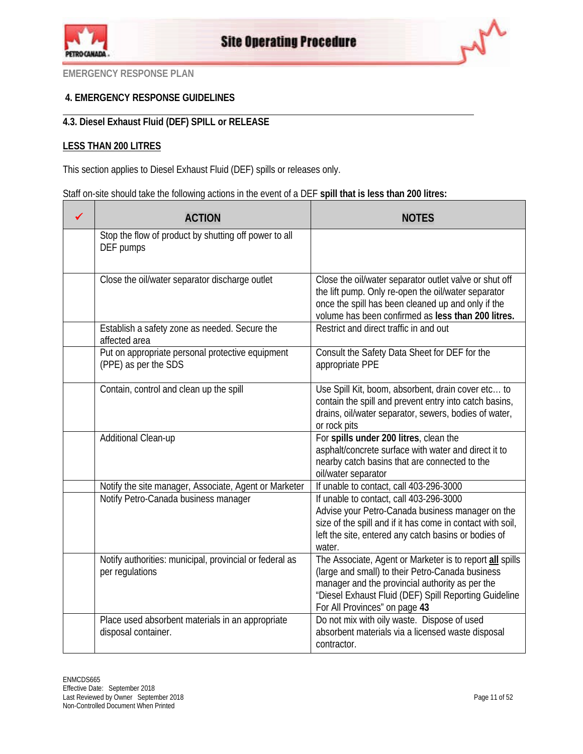



## **4. EMERGENCY RESPONSE GUIDELINES**

## **4.3. Diesel Exhaust Fluid (DEF) SPILL or RELEASE**

## **LESS THAN 200 LITRES**

This section applies to Diesel Exhaust Fluid (DEF) spills or releases only.

Staff on-site should take the following actions in the event of a DEF **spill that is less than 200 litres:**

| <b>ACTION</b>                                                                                   | <b>NOTES</b>                                                                                                                                                                                                                                                        |
|-------------------------------------------------------------------------------------------------|---------------------------------------------------------------------------------------------------------------------------------------------------------------------------------------------------------------------------------------------------------------------|
| Stop the flow of product by shutting off power to all<br>DEF pumps                              |                                                                                                                                                                                                                                                                     |
| Close the oil/water separator discharge outlet<br>Establish a safety zone as needed. Secure the | Close the oil/water separator outlet valve or shut off<br>the lift pump. Only re-open the oil/water separator<br>once the spill has been cleaned up and only if the<br>volume has been confirmed as less than 200 litres.<br>Restrict and direct traffic in and out |
| affected area                                                                                   |                                                                                                                                                                                                                                                                     |
| Put on appropriate personal protective equipment<br>(PPE) as per the SDS                        | Consult the Safety Data Sheet for DEF for the<br>appropriate PPE                                                                                                                                                                                                    |
| Contain, control and clean up the spill                                                         | Use Spill Kit, boom, absorbent, drain cover etc to<br>contain the spill and prevent entry into catch basins,<br>drains, oil/water separator, sewers, bodies of water,<br>or rock pits                                                                               |
| Additional Clean-up                                                                             | For spills under 200 litres, clean the<br>asphalt/concrete surface with water and direct it to<br>nearby catch basins that are connected to the<br>oil/water separator                                                                                              |
| Notify the site manager, Associate, Agent or Marketer                                           | If unable to contact, call 403-296-3000                                                                                                                                                                                                                             |
| Notify Petro-Canada business manager                                                            | If unable to contact, call 403-296-3000<br>Advise your Petro-Canada business manager on the<br>size of the spill and if it has come in contact with soil,<br>left the site, entered any catch basins or bodies of<br>water.                                         |
| Notify authorities: municipal, provincial or federal as<br>per regulations                      | The Associate, Agent or Marketer is to report all spills<br>(large and small) to their Petro-Canada business<br>manager and the provincial authority as per the<br>"Diesel Exhaust Fluid (DEF) Spill Reporting Guideline<br>For All Provinces" on page 43           |
| Place used absorbent materials in an appropriate<br>disposal container.                         | Do not mix with oily waste. Dispose of used<br>absorbent materials via a licensed waste disposal<br>contractor.                                                                                                                                                     |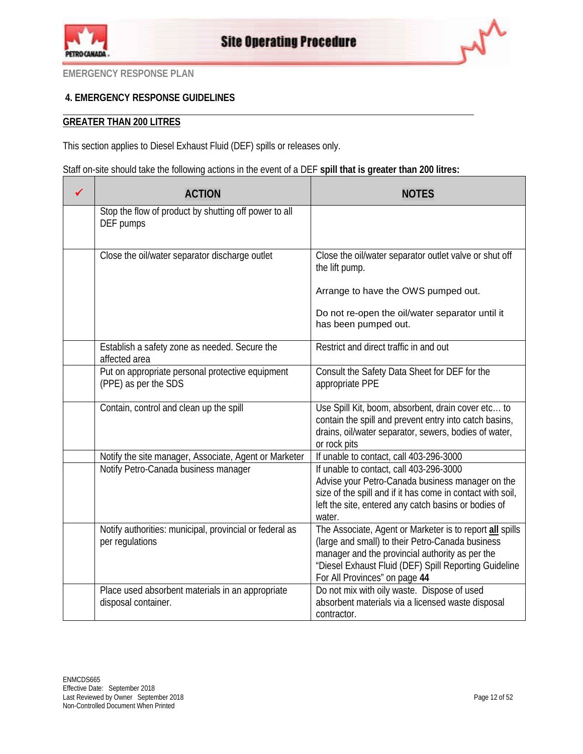

## **4. EMERGENCY RESPONSE GUIDELINES**

## **GREATER THAN 200 LITRES**

This section applies to Diesel Exhaust Fluid (DEF) spills or releases only.

Staff on-site should take the following actions in the event of a DEF **spill that is greater than 200 litres:**

| ✔ | <b>ACTION</b>                                                              | <b>NOTES</b>                                                                                                                                                                          |
|---|----------------------------------------------------------------------------|---------------------------------------------------------------------------------------------------------------------------------------------------------------------------------------|
|   | Stop the flow of product by shutting off power to all<br>DEF pumps         |                                                                                                                                                                                       |
|   | Close the oil/water separator discharge outlet                             | Close the oil/water separator outlet valve or shut off<br>the lift pump.                                                                                                              |
|   |                                                                            | Arrange to have the OWS pumped out.                                                                                                                                                   |
|   |                                                                            | Do not re-open the oil/water separator until it<br>has been pumped out.                                                                                                               |
|   | Establish a safety zone as needed. Secure the<br>affected area             | Restrict and direct traffic in and out                                                                                                                                                |
|   | Put on appropriate personal protective equipment<br>(PPE) as per the SDS   | Consult the Safety Data Sheet for DEF for the<br>appropriate PPE                                                                                                                      |
|   | Contain, control and clean up the spill                                    | Use Spill Kit, boom, absorbent, drain cover etc to<br>contain the spill and prevent entry into catch basins,<br>drains, oil/water separator, sewers, bodies of water,<br>or rock pits |
|   | Notify the site manager, Associate, Agent or Marketer                      | If unable to contact, call 403-296-3000                                                                                                                                               |
|   | Notify Petro-Canada business manager                                       | If unable to contact, call 403-296-3000                                                                                                                                               |
|   |                                                                            | Advise your Petro-Canada business manager on the<br>size of the spill and if it has come in contact with soil,                                                                        |
|   |                                                                            | left the site, entered any catch basins or bodies of<br>water.                                                                                                                        |
|   | Notify authorities: municipal, provincial or federal as<br>per regulations | The Associate, Agent or Marketer is to report all spills<br>(large and small) to their Petro-Canada business                                                                          |
|   |                                                                            | manager and the provincial authority as per the<br>"Diesel Exhaust Fluid (DEF) Spill Reporting Guideline<br>For All Provinces" on page 44                                             |
|   | Place used absorbent materials in an appropriate                           | Do not mix with oily waste. Dispose of used                                                                                                                                           |
|   | disposal container.                                                        | absorbent materials via a licensed waste disposal<br>contractor.                                                                                                                      |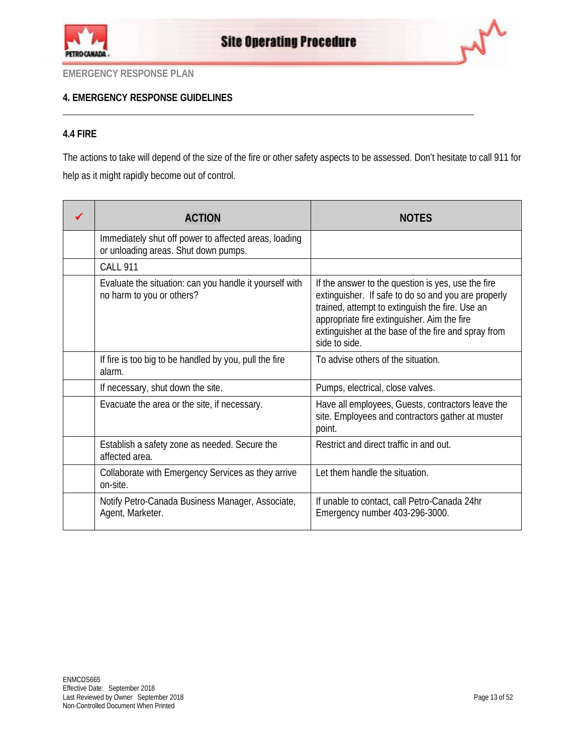



## **4. EMERGENCY RESPONSE GUIDELINES**

## **4.4 FIRE**

The actions to take will depend of the size of the fire or other safety aspects to be assessed. Don't hesitate to call 911 for help as it might rapidly become out of control.

| <b>ACTION</b>                                                                                 | <b>NOTES</b>                                                                                                                                                                                                                                                                        |
|-----------------------------------------------------------------------------------------------|-------------------------------------------------------------------------------------------------------------------------------------------------------------------------------------------------------------------------------------------------------------------------------------|
| Immediately shut off power to affected areas, loading<br>or unloading areas. Shut down pumps. |                                                                                                                                                                                                                                                                                     |
| <b>CALL 911</b>                                                                               |                                                                                                                                                                                                                                                                                     |
| Evaluate the situation: can you handle it yourself with<br>no harm to you or others?          | If the answer to the question is yes, use the fire<br>extinguisher. If safe to do so and you are properly<br>trained, attempt to extinguish the fire. Use an<br>appropriate fire extinguisher. Aim the fire<br>extinguisher at the base of the fire and spray from<br>side to side. |
| If fire is too big to be handled by you, pull the fire<br>alarm.                              | To advise others of the situation.                                                                                                                                                                                                                                                  |
| If necessary, shut down the site.                                                             | Pumps, electrical, close valves.                                                                                                                                                                                                                                                    |
| Evacuate the area or the site, if necessary.                                                  | Have all employees, Guests, contractors leave the<br>site. Employees and contractors gather at muster<br>point.                                                                                                                                                                     |
| Establish a safety zone as needed. Secure the<br>affected area.                               | Restrict and direct traffic in and out.                                                                                                                                                                                                                                             |
| Collaborate with Emergency Services as they arrive<br>on-site.                                | Let them handle the situation.                                                                                                                                                                                                                                                      |
| Notify Petro-Canada Business Manager, Associate,<br>Agent, Marketer.                          | If unable to contact, call Petro-Canada 24hr<br>Emergency number 403-296-3000.                                                                                                                                                                                                      |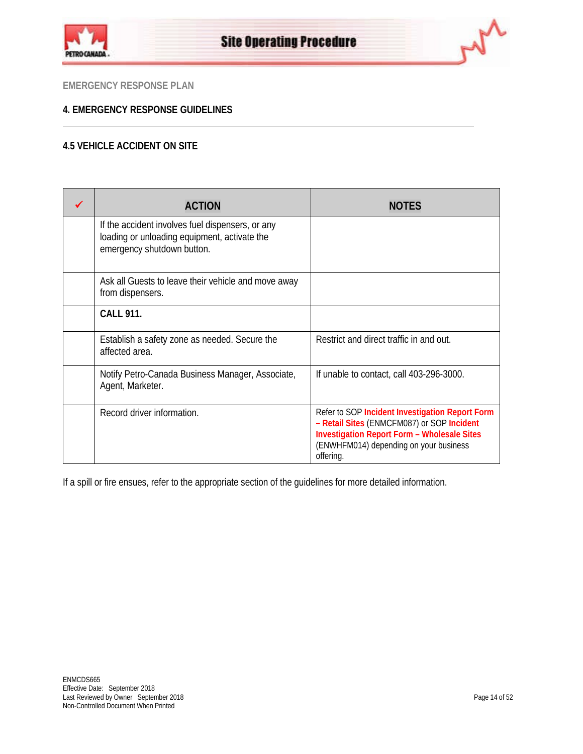



## **4. EMERGENCY RESPONSE GUIDELINES**

## **4.5 VEHICLE ACCIDENT ON SITE**

| <b>ACTION</b>                                                                                                                  | <b>NOTES</b>                                                                                                                                                                                               |
|--------------------------------------------------------------------------------------------------------------------------------|------------------------------------------------------------------------------------------------------------------------------------------------------------------------------------------------------------|
| If the accident involves fuel dispensers, or any<br>loading or unloading equipment, activate the<br>emergency shutdown button. |                                                                                                                                                                                                            |
| Ask all Guests to leave their vehicle and move away<br>from dispensers.                                                        |                                                                                                                                                                                                            |
| <b>CALL 911.</b>                                                                                                               |                                                                                                                                                                                                            |
| Establish a safety zone as needed. Secure the<br>affected area.                                                                | Restrict and direct traffic in and out.                                                                                                                                                                    |
| Notify Petro-Canada Business Manager, Associate,<br>Agent, Marketer.                                                           | If unable to contact, call 403-296-3000.                                                                                                                                                                   |
| Record driver information.                                                                                                     | Refer to SOP Incident Investigation Report Form<br>- Retail Sites (ENMCFM087) or SOP Incident<br><b>Investigation Report Form - Wholesale Sites</b><br>(ENWHFM014) depending on your business<br>offering. |

If a spill or fire ensues, refer to the appropriate section of the guidelines for more detailed information.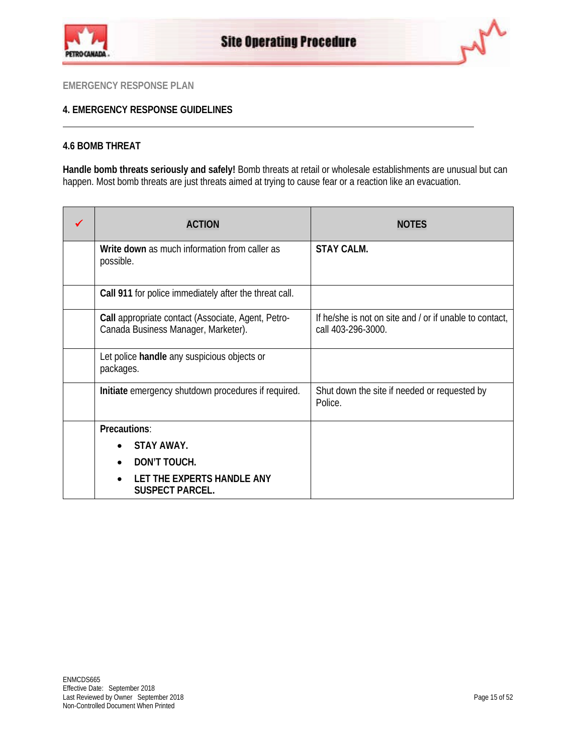



## **4. EMERGENCY RESPONSE GUIDELINES**

## **4.6 BOMB THREAT**

**Handle bomb threats seriously and safely!** Bomb threats at retail or wholesale establishments are unusual but can happen. Most bomb threats are just threats aimed at trying to cause fear or a reaction like an evacuation.

| <b>ACTION</b>                                                                             | <b>NOTES</b>                                                                  |
|-------------------------------------------------------------------------------------------|-------------------------------------------------------------------------------|
| Write down as much information from caller as<br>possible.                                | <b>STAY CALM.</b>                                                             |
| Call 911 for police immediately after the threat call.                                    |                                                                               |
| Call appropriate contact (Associate, Agent, Petro-<br>Canada Business Manager, Marketer). | If he/she is not on site and / or if unable to contact,<br>call 403-296-3000. |
| Let police handle any suspicious objects or<br>packages.                                  |                                                                               |
| Initiate emergency shutdown procedures if required.                                       | Shut down the site if needed or requested by<br>Police.                       |
| Precautions:                                                                              |                                                                               |
| <b>STAY AWAY.</b>                                                                         |                                                                               |
| DON'T TOUCH.                                                                              |                                                                               |
| LET THE EXPERTS HANDLE ANY<br><b>SUSPECT PARCEL.</b>                                      |                                                                               |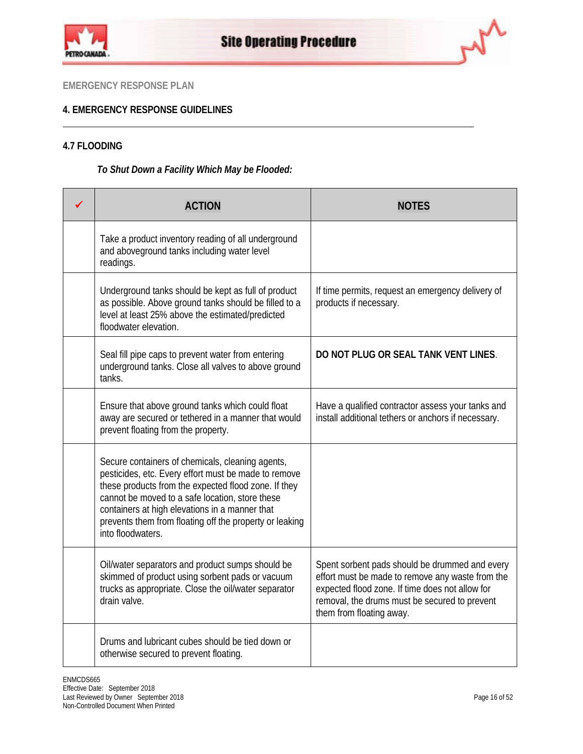



## **4. EMERGENCY RESPONSE GUIDELINES**

## **4.7 FLOODING**

## *To Shut Down a Facility Which May be Flooded:*

| <b>ACTION</b>                                                                                                                                                                                                                                                                                                                                         | <b>NOTES</b>                                                                                                                                                                                                                       |
|-------------------------------------------------------------------------------------------------------------------------------------------------------------------------------------------------------------------------------------------------------------------------------------------------------------------------------------------------------|------------------------------------------------------------------------------------------------------------------------------------------------------------------------------------------------------------------------------------|
| Take a product inventory reading of all underground<br>and aboveground tanks including water level<br>readings.                                                                                                                                                                                                                                       |                                                                                                                                                                                                                                    |
| Underground tanks should be kept as full of product<br>as possible. Above ground tanks should be filled to a<br>level at least 25% above the estimated/predicted<br>floodwater elevation.                                                                                                                                                             | If time permits, request an emergency delivery of<br>products if necessary.                                                                                                                                                        |
| Seal fill pipe caps to prevent water from entering<br>underground tanks. Close all valves to above ground<br>tanks.                                                                                                                                                                                                                                   | DO NOT PLUG OR SEAL TANK VENT LINES.                                                                                                                                                                                               |
| Ensure that above ground tanks which could float<br>away are secured or tethered in a manner that would<br>prevent floating from the property.                                                                                                                                                                                                        | Have a qualified contractor assess your tanks and<br>install additional tethers or anchors if necessary.                                                                                                                           |
| Secure containers of chemicals, cleaning agents,<br>pesticides, etc. Every effort must be made to remove<br>these products from the expected flood zone. If they<br>cannot be moved to a safe location, store these<br>containers at high elevations in a manner that<br>prevents them from floating off the property or leaking<br>into floodwaters. |                                                                                                                                                                                                                                    |
| Oil/water separators and product sumps should be<br>skimmed of product using sorbent pads or vacuum<br>trucks as appropriate. Close the oil/water separator<br>drain valve.                                                                                                                                                                           | Spent sorbent pads should be drummed and every<br>effort must be made to remove any waste from the<br>expected flood zone. If time does not allow for<br>removal, the drums must be secured to prevent<br>them from floating away. |
| Drums and lubricant cubes should be tied down or<br>otherwise secured to prevent floating.                                                                                                                                                                                                                                                            |                                                                                                                                                                                                                                    |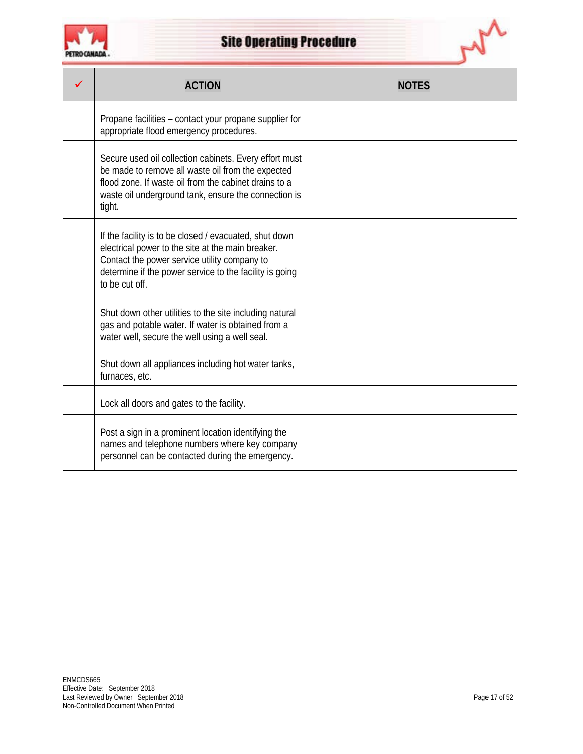

| <b>ACTION</b>                                                                                                                                                                                                                            |  |
|------------------------------------------------------------------------------------------------------------------------------------------------------------------------------------------------------------------------------------------|--|
| Propane facilities – contact your propane supplier for<br>appropriate flood emergency procedures.                                                                                                                                        |  |
| Secure used oil collection cabinets. Every effort must<br>be made to remove all waste oil from the expected<br>flood zone. If waste oil from the cabinet drains to a<br>waste oil underground tank, ensure the connection is<br>tight.   |  |
| If the facility is to be closed / evacuated, shut down<br>electrical power to the site at the main breaker.<br>Contact the power service utility company to<br>determine if the power service to the facility is going<br>to be cut off. |  |
| Shut down other utilities to the site including natural<br>gas and potable water. If water is obtained from a<br>water well, secure the well using a well seal.                                                                          |  |
| Shut down all appliances including hot water tanks,<br>furnaces, etc.                                                                                                                                                                    |  |
| Lock all doors and gates to the facility.                                                                                                                                                                                                |  |
| Post a sign in a prominent location identifying the<br>names and telephone numbers where key company<br>personnel can be contacted during the emergency.                                                                                 |  |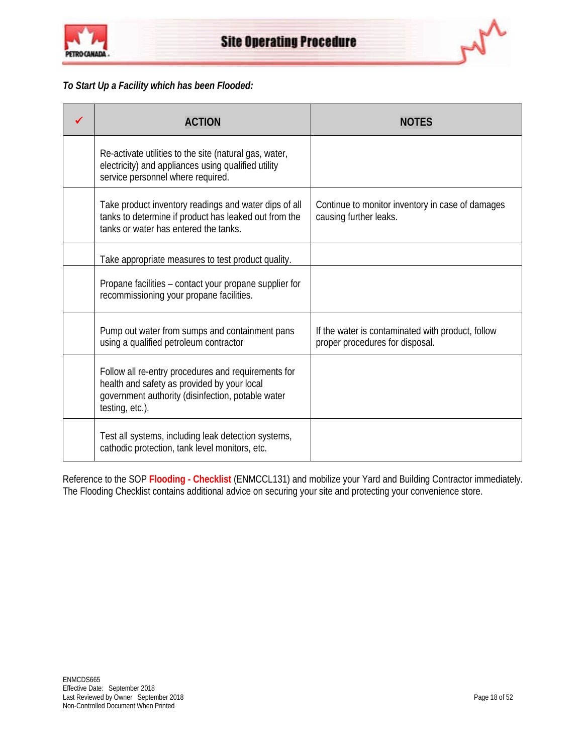



## *To Start Up a Facility which has been Flooded:*

| <b>ACTION</b>                                                                                                                                                              | <b>NOTES</b>                                                                         |
|----------------------------------------------------------------------------------------------------------------------------------------------------------------------------|--------------------------------------------------------------------------------------|
| Re-activate utilities to the site (natural gas, water,<br>electricity) and appliances using qualified utility<br>service personnel where required.                         |                                                                                      |
| Take product inventory readings and water dips of all<br>tanks to determine if product has leaked out from the<br>tanks or water has entered the tanks.                    | Continue to monitor inventory in case of damages<br>causing further leaks.           |
| Take appropriate measures to test product quality.                                                                                                                         |                                                                                      |
| Propane facilities - contact your propane supplier for<br>recommissioning your propane facilities.                                                                         |                                                                                      |
| Pump out water from sumps and containment pans<br>using a qualified petroleum contractor                                                                                   | If the water is contaminated with product, follow<br>proper procedures for disposal. |
| Follow all re-entry procedures and requirements for<br>health and safety as provided by your local<br>government authority (disinfection, potable water<br>testing, etc.). |                                                                                      |
| Test all systems, including leak detection systems,<br>cathodic protection, tank level monitors, etc.                                                                      |                                                                                      |

Reference to the SOP **[Flooding -](http://pcagateway.network.lan/EN/SOP/Lists/SOPDocuments/ENMCCL131.pdf) Checklist** (ENMCCL131) and mobilize your Yard and Building Contractor immediately. The Flooding Checklist contains additional advice on securing your site and protecting your convenience store.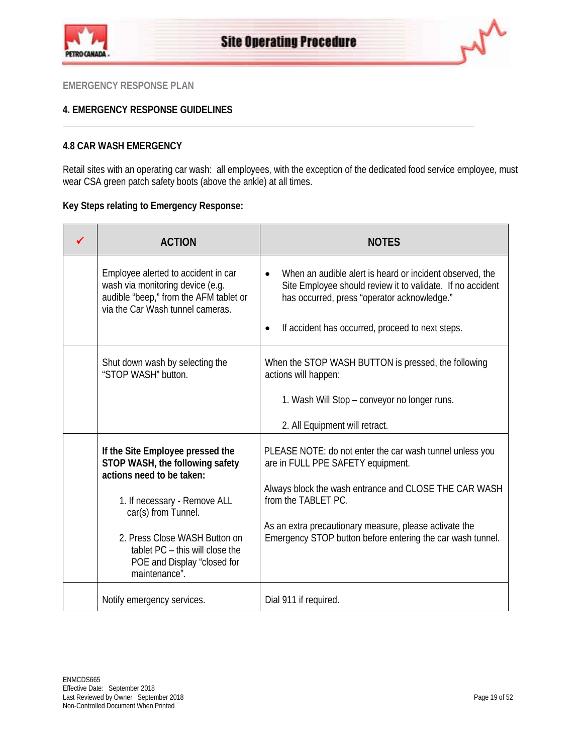



## **4. EMERGENCY RESPONSE GUIDELINES**

## **4.8 CAR WASH EMERGENCY**

Retail sites with an operating car wash: all employees, with the exception of the dedicated food service employee, must wear CSA green patch safety boots (above the ankle) at all times.

## **Key Steps relating to Emergency Response:**

| <b>ACTION</b>                                                                                                                                                                                                                                                               | <b>NOTES</b>                                                                                                                                                                                                                                                                                          |
|-----------------------------------------------------------------------------------------------------------------------------------------------------------------------------------------------------------------------------------------------------------------------------|-------------------------------------------------------------------------------------------------------------------------------------------------------------------------------------------------------------------------------------------------------------------------------------------------------|
| Employee alerted to accident in car<br>wash via monitoring device (e.g.<br>audible "beep," from the AFM tablet or<br>via the Car Wash tunnel cameras.                                                                                                                       | When an audible alert is heard or incident observed, the<br>$\bullet$<br>Site Employee should review it to validate. If no accident<br>has occurred, press "operator acknowledge."<br>If accident has occurred, proceed to next steps.<br>$\bullet$                                                   |
| Shut down wash by selecting the<br>"STOP WASH" button.                                                                                                                                                                                                                      | When the STOP WASH BUTTON is pressed, the following<br>actions will happen:<br>1. Wash Will Stop - conveyor no longer runs.<br>2. All Equipment will retract.                                                                                                                                         |
| If the Site Employee pressed the<br>STOP WASH, the following safety<br>actions need to be taken:<br>1. If necessary - Remove ALL<br>car(s) from Tunnel.<br>2. Press Close WASH Button on<br>tablet PC - this will close the<br>POE and Display "closed for<br>maintenance". | PLEASE NOTE: do not enter the car wash tunnel unless you<br>are in FULL PPE SAFETY equipment.<br>Always block the wash entrance and CLOSE THE CAR WASH<br>from the TABLET PC.<br>As an extra precautionary measure, please activate the<br>Emergency STOP button before entering the car wash tunnel. |
| Notify emergency services.                                                                                                                                                                                                                                                  | Dial 911 if required.                                                                                                                                                                                                                                                                                 |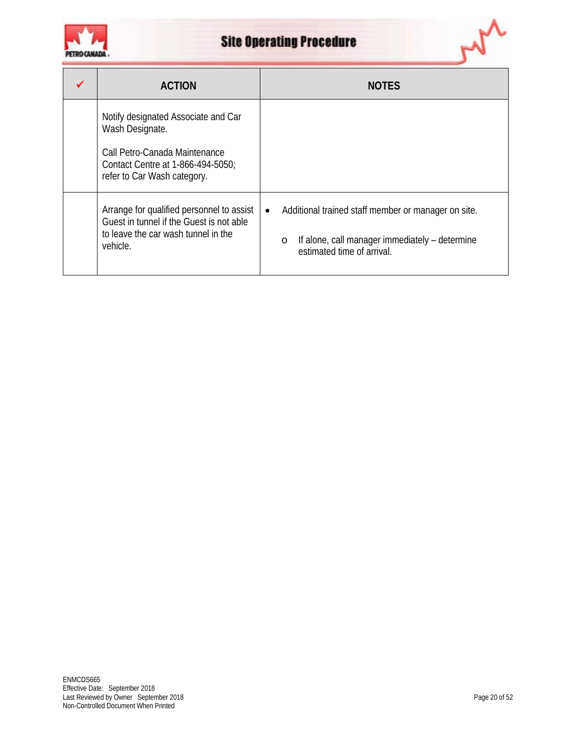



| <b>ACTION</b>                                                                                                                                               | <b>NOTES</b>                                                                                                                                                |
|-------------------------------------------------------------------------------------------------------------------------------------------------------------|-------------------------------------------------------------------------------------------------------------------------------------------------------------|
| Notify designated Associate and Car<br>Wash Designate.<br>Call Petro-Canada Maintenance<br>Contact Centre at 1-866-494-5050;<br>refer to Car Wash category. |                                                                                                                                                             |
| Arrange for qualified personnel to assist<br>Guest in tunnel if the Guest is not able<br>to leave the car wash tunnel in the<br>vehicle.                    | Additional trained staff member or manager on site.<br>$\bullet$<br>If alone, call manager immediately - determine<br>$\circ$<br>estimated time of arrival. |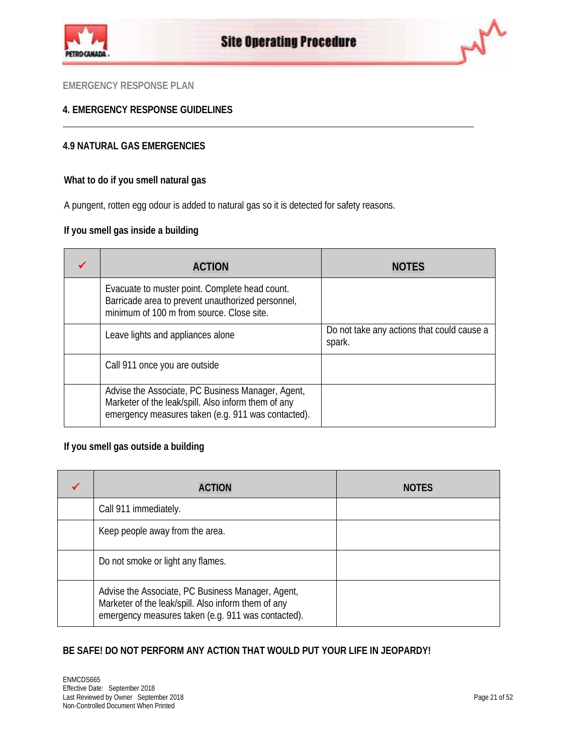



## **4. EMERGENCY RESPONSE GUIDELINES**

## **4.9 NATURAL GAS EMERGENCIES**

## **What to do if you smell natural gas**

A pungent, rotten egg odour is added to natural gas so it is detected for safety reasons.

## **If you smell gas inside a building**

| <b>ACTION</b>                                                                                                                                                  | <b>NOTES</b>                                         |
|----------------------------------------------------------------------------------------------------------------------------------------------------------------|------------------------------------------------------|
| Evacuate to muster point. Complete head count.<br>Barricade area to prevent unauthorized personnel,<br>minimum of 100 m from source. Close site.               |                                                      |
| Leave lights and appliances alone                                                                                                                              | Do not take any actions that could cause a<br>spark. |
| Call 911 once you are outside                                                                                                                                  |                                                      |
| Advise the Associate, PC Business Manager, Agent,<br>Marketer of the leak/spill. Also inform them of any<br>emergency measures taken (e.g. 911 was contacted). |                                                      |

## **If you smell gas outside a building**

| <b>ACTION</b>                                                                                                                                                  | <b>NOTES</b> |
|----------------------------------------------------------------------------------------------------------------------------------------------------------------|--------------|
| Call 911 immediately.                                                                                                                                          |              |
| Keep people away from the area.                                                                                                                                |              |
| Do not smoke or light any flames.                                                                                                                              |              |
| Advise the Associate, PC Business Manager, Agent,<br>Marketer of the leak/spill. Also inform them of any<br>emergency measures taken (e.g. 911 was contacted). |              |

## **BE SAFE! DO NOT PERFORM ANY ACTION THAT WOULD PUT YOUR LIFE IN JEOPARDY!**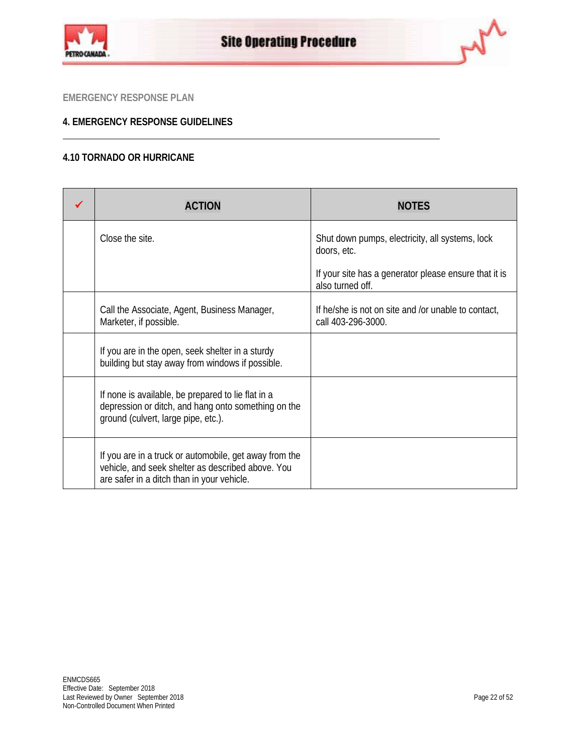



## **4. EMERGENCY RESPONSE GUIDELINES**

## **4.10 TORNADO OR HURRICANE**

| <b>ACTION</b>                                                                                                                                             | <b>NOTES</b>                                                              |
|-----------------------------------------------------------------------------------------------------------------------------------------------------------|---------------------------------------------------------------------------|
| Close the site.                                                                                                                                           | Shut down pumps, electricity, all systems, lock<br>doors, etc.            |
|                                                                                                                                                           | If your site has a generator please ensure that it is<br>also turned off. |
| Call the Associate, Agent, Business Manager,<br>Marketer, if possible.                                                                                    | If he/she is not on site and /or unable to contact,<br>call 403-296-3000. |
| If you are in the open, seek shelter in a sturdy<br>building but stay away from windows if possible.                                                      |                                                                           |
| If none is available, be prepared to lie flat in a<br>depression or ditch, and hang onto something on the<br>ground (culvert, large pipe, etc.).          |                                                                           |
| If you are in a truck or automobile, get away from the<br>vehicle, and seek shelter as described above. You<br>are safer in a ditch than in your vehicle. |                                                                           |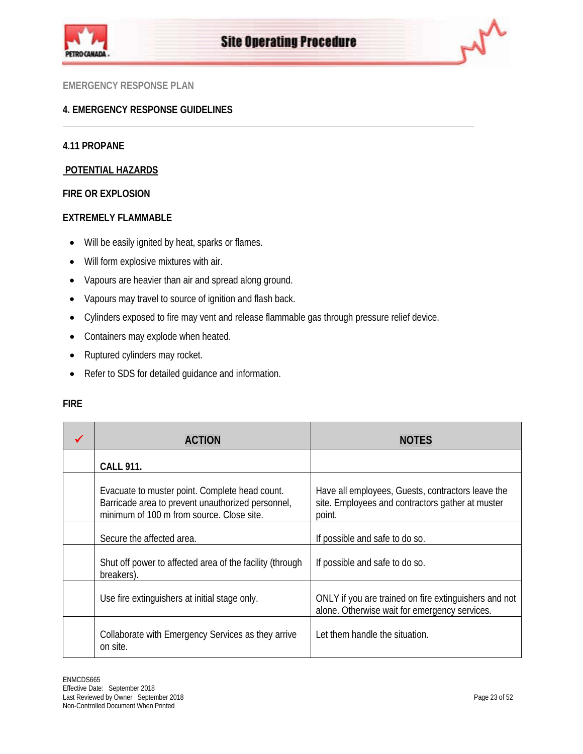



## **4. EMERGENCY RESPONSE GUIDELINES**

## **4.11 PROPANE**

## **POTENTIAL HAZARDS**

## **FIRE OR EXPLOSION**

## **EXTREMELY FLAMMABLE**

- Will be easily ignited by heat, sparks or flames.
- Will form explosive mixtures with air.
- Vapours are heavier than air and spread along ground.
- Vapours may travel to source of ignition and flash back.
- Cylinders exposed to fire may vent and release flammable gas through pressure relief device.
- Containers may explode when heated.
- Ruptured cylinders may rocket.
- Refer to SDS for detailed guidance and information.

| <b>ACTION</b>                                                                                                                                    | <b>NOTES</b>                                                                                                    |
|--------------------------------------------------------------------------------------------------------------------------------------------------|-----------------------------------------------------------------------------------------------------------------|
| <b>CALL 911.</b>                                                                                                                                 |                                                                                                                 |
| Evacuate to muster point. Complete head count.<br>Barricade area to prevent unauthorized personnel,<br>minimum of 100 m from source. Close site. | Have all employees, Guests, contractors leave the<br>site. Employees and contractors gather at muster<br>point. |
| Secure the affected area.                                                                                                                        | If possible and safe to do so.                                                                                  |
| Shut off power to affected area of the facility (through<br>breakers).                                                                           | If possible and safe to do so.                                                                                  |
| Use fire extinguishers at initial stage only.                                                                                                    | ONLY if you are trained on fire extinguishers and not<br>alone. Otherwise wait for emergency services.          |
| Collaborate with Emergency Services as they arrive<br>on site.                                                                                   | Let them handle the situation.                                                                                  |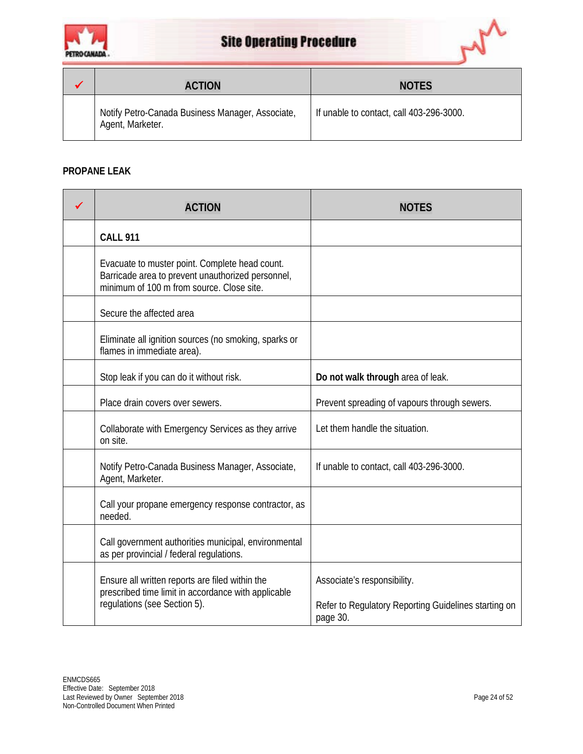



| <b>ACTION</b>                                                        | <b>NOTES</b>                             |
|----------------------------------------------------------------------|------------------------------------------|
| Notify Petro-Canada Business Manager, Associate,<br>Agent, Marketer. | If unable to contact, call 403-296-3000. |

## **PROPANE LEAK**

| <b>ACTION</b>                                                                                                                                    | <b>NOTES</b>                                                                                    |
|--------------------------------------------------------------------------------------------------------------------------------------------------|-------------------------------------------------------------------------------------------------|
| <b>CALL 911</b>                                                                                                                                  |                                                                                                 |
| Evacuate to muster point. Complete head count.<br>Barricade area to prevent unauthorized personnel,<br>minimum of 100 m from source. Close site. |                                                                                                 |
| Secure the affected area                                                                                                                         |                                                                                                 |
| Eliminate all ignition sources (no smoking, sparks or<br>flames in immediate area).                                                              |                                                                                                 |
| Stop leak if you can do it without risk.                                                                                                         | Do not walk through area of leak.                                                               |
| Place drain covers over sewers.                                                                                                                  | Prevent spreading of vapours through sewers.                                                    |
| Collaborate with Emergency Services as they arrive<br>on site.                                                                                   | Let them handle the situation.                                                                  |
| Notify Petro-Canada Business Manager, Associate,<br>Agent, Marketer.                                                                             | If unable to contact, call 403-296-3000.                                                        |
| Call your propane emergency response contractor, as<br>needed.                                                                                   |                                                                                                 |
| Call government authorities municipal, environmental<br>as per provincial / federal regulations.                                                 |                                                                                                 |
| Ensure all written reports are filed within the<br>prescribed time limit in accordance with applicable<br>regulations (see Section 5).           | Associate's responsibility.<br>Refer to Regulatory Reporting Guidelines starting on<br>page 30. |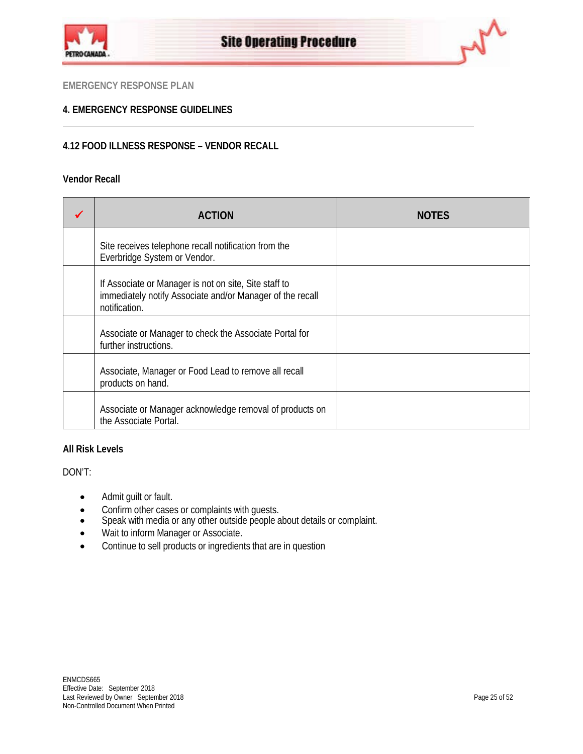



## **4. EMERGENCY RESPONSE GUIDELINES**

## **4.12 FOOD ILLNESS RESPONSE – VENDOR RECALL**

## **Vendor Recall**

| <b>ACTION</b>                                                                                                                       | <b>NOTES</b> |
|-------------------------------------------------------------------------------------------------------------------------------------|--------------|
| Site receives telephone recall notification from the<br>Everbridge System or Vendor.                                                |              |
| If Associate or Manager is not on site, Site staff to<br>immediately notify Associate and/or Manager of the recall<br>notification. |              |
| Associate or Manager to check the Associate Portal for<br>further instructions.                                                     |              |
| Associate, Manager or Food Lead to remove all recall<br>products on hand.                                                           |              |
| Associate or Manager acknowledge removal of products on<br>the Associate Portal.                                                    |              |

## **All Risk Levels**

DON'T:

- Admit guilt or fault.
- Confirm other cases or complaints with guests.
- Speak with media or any other outside people about details or complaint.
- Wait to inform Manager or Associate.
- Continue to sell products or ingredients that are in question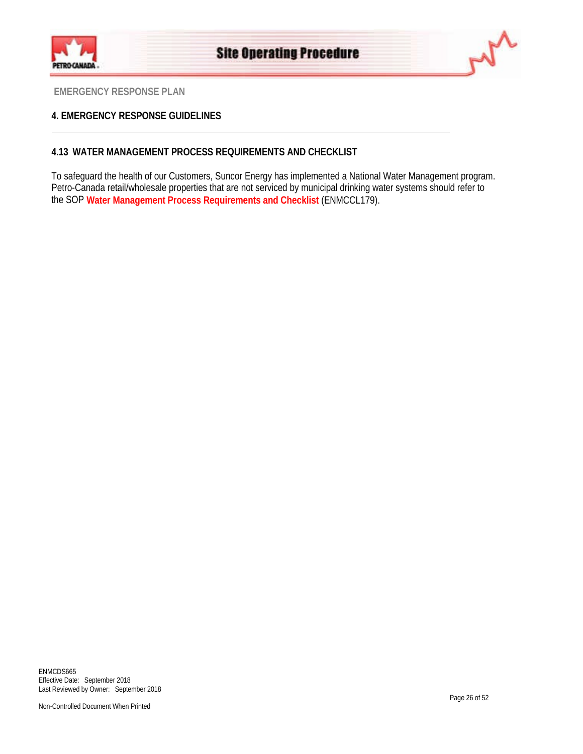



## **4. EMERGENCY RESPONSE GUIDELINES**

## **4.13 WATER MANAGEMENT PROCESS REQUIREMENTS AND CHECKLIST**

To safeguard the health of our Customers, Suncor Energy has implemented a National Water Management program. Petro-Canada retail/wholesale properties that are not serviced by municipal drinking water systems should refer to the SOP **[Water Management Process Requirements and Checklist](http://pcagateway.network.lan/EN/SOP/Lists/SOPDocuments/ENMCCL179.pdf)** (ENMCCL179).

ENMCDS665 Effective Date: September 2018 Last Reviewed by Owner: September 2018

Non-Controlled Document When Printed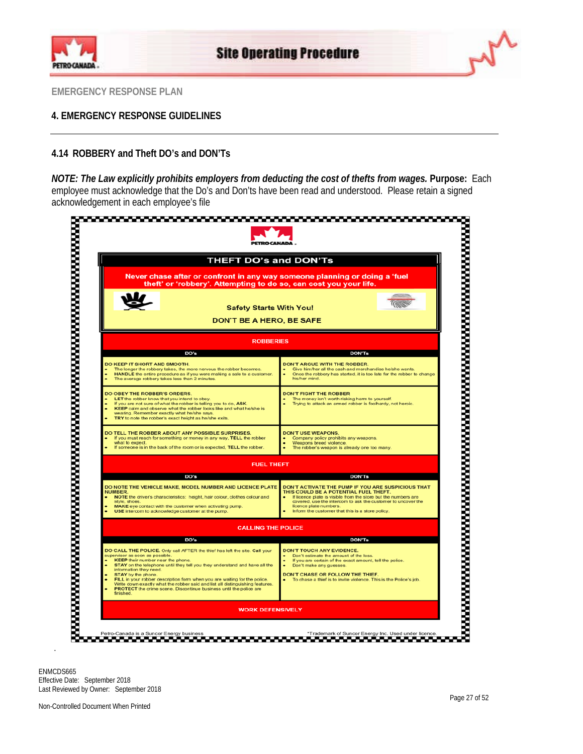



## **4. EMERGENCY RESPONSE GUIDELINES**

## **4.14 ROBBERY and Theft DO's and DON'Ts**

*NOTE: The Law explicitly prohibits employers from deducting the cost of thefts from wages.* **Purpose:** Each employee must acknowledge that the Do's and Don'ts have been read and understood. Please retain a signed acknowledgement in each employee's file

| <b>THEFT DO's and DON'Ts</b>                                                                                                                                                                                                                                                                                                                                                                                                                                                                                                            |                                                                                                                                                                                                                                                                                                            |
|-----------------------------------------------------------------------------------------------------------------------------------------------------------------------------------------------------------------------------------------------------------------------------------------------------------------------------------------------------------------------------------------------------------------------------------------------------------------------------------------------------------------------------------------|------------------------------------------------------------------------------------------------------------------------------------------------------------------------------------------------------------------------------------------------------------------------------------------------------------|
| Never chase after or confront in any way someone planning or doing a 'fuel<br>theft' or 'robbery'. Attempting to do so, can cost you your life.                                                                                                                                                                                                                                                                                                                                                                                         |                                                                                                                                                                                                                                                                                                            |
| <b>Safety Starts With You!</b><br><b>DON'T BE A HERO, BE SAFE</b>                                                                                                                                                                                                                                                                                                                                                                                                                                                                       |                                                                                                                                                                                                                                                                                                            |
| <b>ROBBERIES</b>                                                                                                                                                                                                                                                                                                                                                                                                                                                                                                                        |                                                                                                                                                                                                                                                                                                            |
| DO's                                                                                                                                                                                                                                                                                                                                                                                                                                                                                                                                    | <b>DON'Ts</b>                                                                                                                                                                                                                                                                                              |
| DO KEEP IT SHORT AND SMOOTH.<br>The longer the robbery takes, the more nervous the robber becomes.<br>HANDLE the entire procedure as if you were making a sale to a customer.<br>The average robbery takes less than 2 minutes.                                                                                                                                                                                                                                                                                                         | <b>DON'T ARGUE WITH THE ROBBER.</b><br>Give him/her all the cash and merchandise he/she wants.<br>Once the robbery has started, it is too late for the robber to change<br>his/her mind                                                                                                                    |
| DO OBEY THE ROBBER'S ORDERS.<br>LET the robber know that you intend to obey.<br>If you are not sure of what the robber is telling you to do, ASK.<br>KEEP calm and observe what the robber looks like and what he/she is<br>wearing. Remember exactly what he/she says.<br>TRY to note the robber's exact height as he/she exits                                                                                                                                                                                                        | <b>DON'T FIGHT THE ROBBER</b><br>The money isn't worth risking harm to yourself.<br>Trying to attack an armed robber is foolhardy, not heroic.                                                                                                                                                             |
| DO TELL THE ROBBER ABOUT ANY POSSIBLE SURPRISES.<br>If you must reach for something or money in any way. TELL the robber<br>what to expect.<br>If someone is in the back of the room or is expected. TELL the robber.                                                                                                                                                                                                                                                                                                                   | <b>DON'T USE WEAPONS.</b><br>Company policy prohibits any weapons.<br>Weapons breed violence<br>The robber's weapon is already one too many.                                                                                                                                                               |
| <b>FUEL THEFT</b>                                                                                                                                                                                                                                                                                                                                                                                                                                                                                                                       |                                                                                                                                                                                                                                                                                                            |
| DO's                                                                                                                                                                                                                                                                                                                                                                                                                                                                                                                                    | <b>DON'Ts</b>                                                                                                                                                                                                                                                                                              |
| DO NOTE THE VEHICLE MAKE, MODEL NUMBER AND LICENCE PLATE<br><b>NUMBER</b><br>NOTE the driver's characteristics: height, hair colour, clothes colour and<br>style, shoes<br>MAKE eye contact with the customer when activating pump.<br>USE intercom to acknowledge customer at the pump.                                                                                                                                                                                                                                                | DON'T ACTIVATE THE PUMP IF YOU ARE SUSPICIOUS THAT<br>THIS COULD BE A POTENTIAL FUEL THEFT.<br>If licence plate is visible from the store but the numbers are<br>covered, use the intercom to ask the customer to uncover the<br>licence plate numbers.<br>Inform the customer that this is a store policy |
| <b>CALLING THE POLICE</b>                                                                                                                                                                                                                                                                                                                                                                                                                                                                                                               |                                                                                                                                                                                                                                                                                                            |
| DO's                                                                                                                                                                                                                                                                                                                                                                                                                                                                                                                                    | <b>DON'Ts</b>                                                                                                                                                                                                                                                                                              |
| DO CALL THE POLICE. Only call AFTER the thief has left the site. Call your<br>supervisor as soon as possible.<br><b>KEEP</b> their number near the phone.<br>STAY on the telephone until they tell you they understand and have all the<br>information they need.<br>STAY by the phone.<br>FILL in your robber description form when you are waiting for the police.<br>Write down exactly what the robber said and list all distinguishing features.<br>PROTECT the crime scene. Discontinue business until the police are<br>finished | DON'T TOUCH ANY EVIDENCE.<br>Don't estimate the amount of the loss.<br>If you are certain of the exact amount, tell the police.<br>Don't make any guesses.<br>DON'T CHASE OR FOLLOW THE THIEF.<br>To chase a thief is to invite violence. This is the Police's job.                                        |
|                                                                                                                                                                                                                                                                                                                                                                                                                                                                                                                                         |                                                                                                                                                                                                                                                                                                            |

ENMCDS665 Effective Date: September 2018 Last Reviewed by Owner: September 2018

.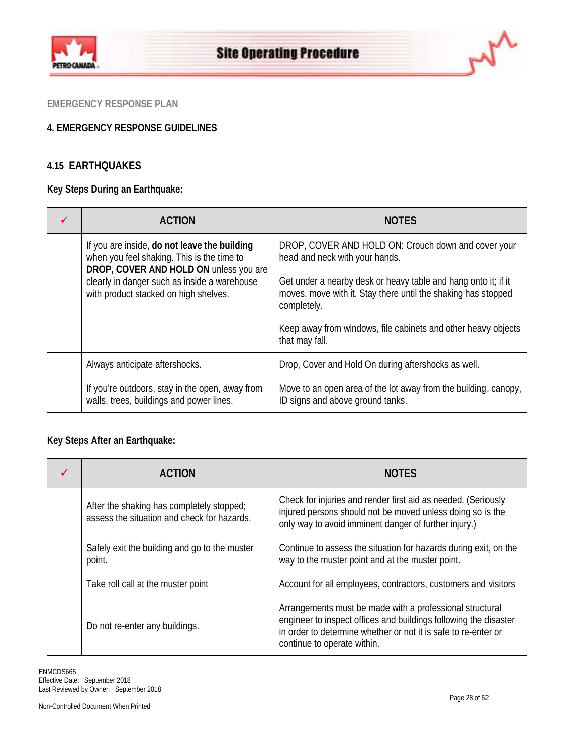



## **4. EMERGENCY RESPONSE GUIDELINES**

## **4.15 EARTHQUAKES**

## **Key Steps During an Earthquake:**

| <b>ACTION</b>                                                                                                                                                                                                                 | <b>NOTES</b>                                                                                                                                                                                                                                                                                                               |  |  |
|-------------------------------------------------------------------------------------------------------------------------------------------------------------------------------------------------------------------------------|----------------------------------------------------------------------------------------------------------------------------------------------------------------------------------------------------------------------------------------------------------------------------------------------------------------------------|--|--|
| If you are inside, do not leave the building<br>when you feel shaking. This is the time to<br>DROP, COVER AND HOLD ON unless you are<br>clearly in danger such as inside a warehouse<br>with product stacked on high shelves. | DROP, COVER AND HOLD ON: Crouch down and cover your<br>head and neck with your hands.<br>Get under a nearby desk or heavy table and hang onto it; if it<br>moves, move with it. Stay there until the shaking has stopped<br>completely.<br>Keep away from windows, file cabinets and other heavy objects<br>that may fall. |  |  |
| Always anticipate aftershocks.                                                                                                                                                                                                | Drop, Cover and Hold On during aftershocks as well.                                                                                                                                                                                                                                                                        |  |  |
| If you're outdoors, stay in the open, away from<br>walls, trees, buildings and power lines.                                                                                                                                   | Move to an open area of the lot away from the building, canopy,<br>ID signs and above ground tanks.                                                                                                                                                                                                                        |  |  |

## **Key Steps After an Earthquake:**

| <b>ACTION</b>                                                                            | <b>NOTES</b>                                                                                                                                                                                                                  |
|------------------------------------------------------------------------------------------|-------------------------------------------------------------------------------------------------------------------------------------------------------------------------------------------------------------------------------|
| After the shaking has completely stopped;<br>assess the situation and check for hazards. | Check for injuries and render first aid as needed. (Seriously<br>injured persons should not be moved unless doing so is the<br>only way to avoid imminent danger of further injury.)                                          |
| Safely exit the building and go to the muster<br>point.                                  | Continue to assess the situation for hazards during exit, on the<br>way to the muster point and at the muster point.                                                                                                          |
| Take roll call at the muster point                                                       | Account for all employees, contractors, customers and visitors                                                                                                                                                                |
| Do not re-enter any buildings.                                                           | Arrangements must be made with a professional structural<br>engineer to inspect offices and buildings following the disaster<br>in order to determine whether or not it is safe to re-enter or<br>continue to operate within. |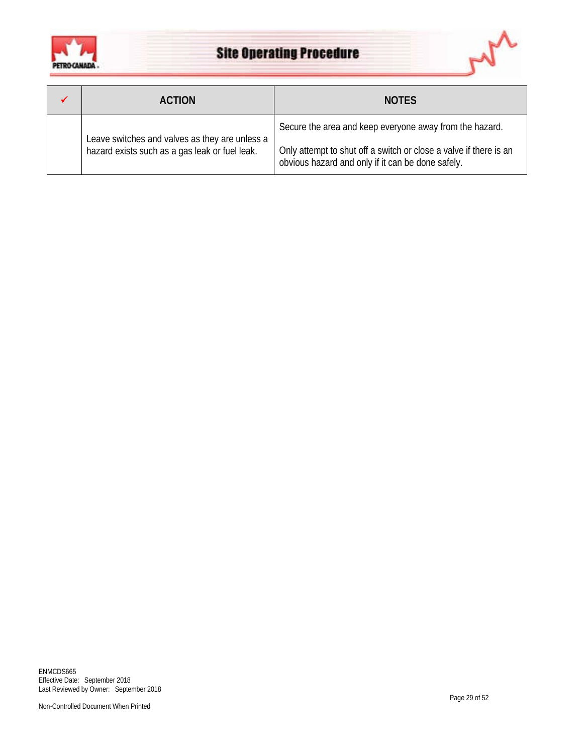



| <b>ACTION</b>                                                                                    | <b>NOTES</b>                                                                                                                 |
|--------------------------------------------------------------------------------------------------|------------------------------------------------------------------------------------------------------------------------------|
| Leave switches and valves as they are unless a<br>hazard exists such as a gas leak or fuel leak. | Secure the area and keep everyone away from the hazard.<br>Only attempt to shut off a switch or close a valve if there is an |
|                                                                                                  | obvious hazard and only if it can be done safely.                                                                            |

ENMCDS665 Effective Date: September 2018 Last Reviewed by Owner: September 2018

Non-Controlled Document When Printed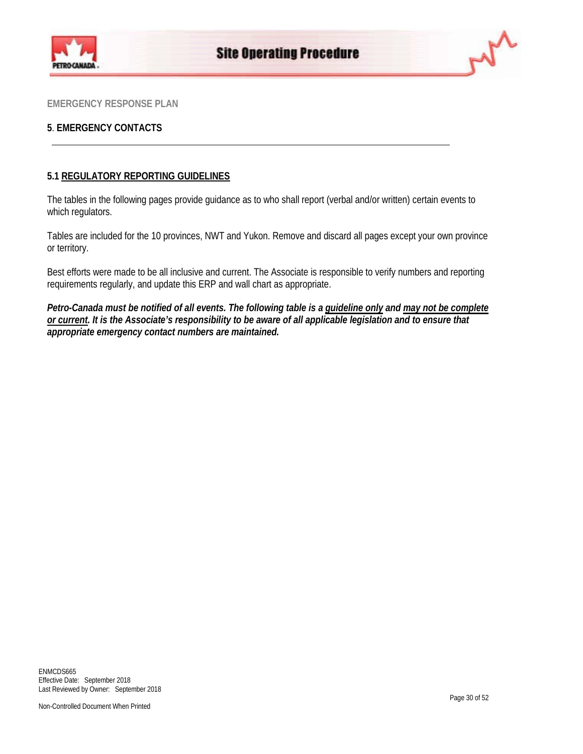



## **5**. **EMERGENCY CONTACTS**

## **5.1 REGULATORY REPORTING GUIDELINES**

The tables in the following pages provide guidance as to who shall report (verbal and/or written) certain events to which regulators.

Tables are included for the 10 provinces, NWT and Yukon. Remove and discard all pages except your own province or territory.

Best efforts were made to be all inclusive and current. The Associate is responsible to verify numbers and reporting requirements regularly, and update this ERP and wall chart as appropriate.

*Petro-Canada must be notified of all events. The following table is a guideline only and may not be complete or current. It is the Associate's responsibility to be aware of all applicable legislation and to ensure that appropriate emergency contact numbers are maintained.*

ENMCDS665 Effective Date: September 2018 Last Reviewed by Owner: September 2018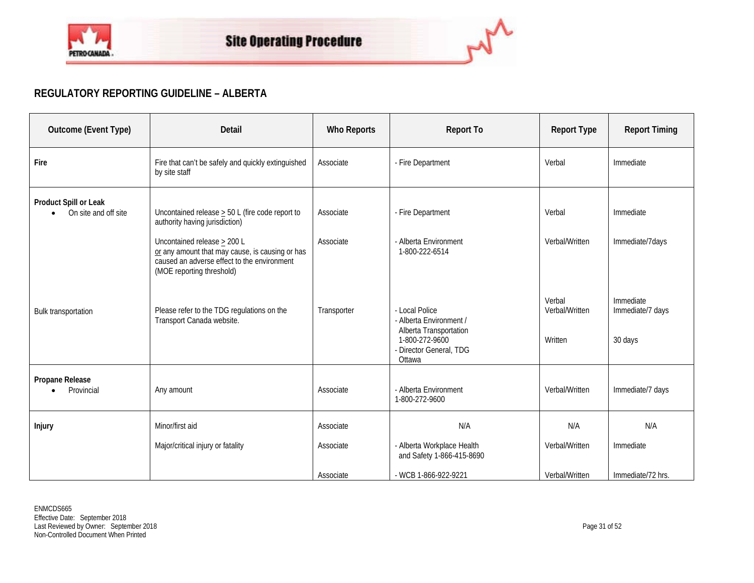

## **REGULATORY REPORTING GUIDELINE – ALBERTA**

| Outcome (Event Type)                                       | Detail                                                                                                                                                     | <b>Who Reports</b> | <b>Report To</b>                                                                                                           | <b>Report Type</b>                  | <b>Report Timing</b>                     |
|------------------------------------------------------------|------------------------------------------------------------------------------------------------------------------------------------------------------------|--------------------|----------------------------------------------------------------------------------------------------------------------------|-------------------------------------|------------------------------------------|
| Fire                                                       | Fire that can't be safely and quickly extinguished<br>by site staff                                                                                        | Associate          | - Fire Department                                                                                                          | Verbal                              | Immediate                                |
| Product Spill or Leak<br>On site and off site<br>$\bullet$ | Uncontained release $\geq$ 50 L (fire code report to<br>authority having jurisdiction)                                                                     | Associate          | - Fire Department                                                                                                          | Verbal                              | Immediate                                |
|                                                            | Uncontained release > 200 L<br>or any amount that may cause, is causing or has<br>caused an adverse effect to the environment<br>(MOE reporting threshold) | Associate          | - Alberta Environment<br>1-800-222-6514                                                                                    | Verbal/Written                      | Immediate/7days                          |
| Bulk transportation                                        | Please refer to the TDG regulations on the<br>Transport Canada website.                                                                                    | Transporter        | - Local Police<br>- Alberta Environment /<br>Alberta Transportation<br>1-800-272-9600<br>- Director General, TDG<br>Ottawa | Verbal<br>Verbal/Written<br>Written | Immediate<br>Immediate/7 days<br>30 days |
| Propane Release<br>Provincial                              | Any amount                                                                                                                                                 | Associate          | - Alberta Environment<br>1-800-272-9600                                                                                    | Verbal/Written                      | Immediate/7 days                         |
| <b>Injury</b>                                              | Minor/first aid                                                                                                                                            | Associate          | N/A                                                                                                                        | N/A                                 | N/A                                      |
|                                                            | Major/critical injury or fatality                                                                                                                          | Associate          | - Alberta Workplace Health<br>and Safety 1-866-415-8690                                                                    | Verbal/Written                      | Immediate                                |
|                                                            |                                                                                                                                                            | Associate          | - WCB 1-866-922-9221                                                                                                       | Verbal/Written                      | Immediate/72 hrs.                        |

 $\overline{a}$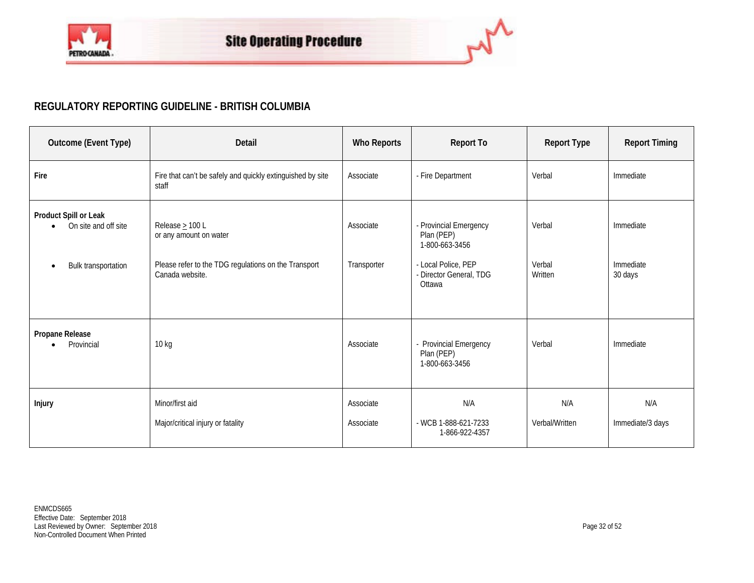

## **REGULATORY REPORTING GUIDELINE - BRITISH COLUMBIA**

| Outcome (Event Type)                                                 | Detail                                                                                                                    | <b>Who Reports</b>       | <b>Report To</b>                                                                                                   | <b>Report Type</b>          | <b>Report Timing</b>              |
|----------------------------------------------------------------------|---------------------------------------------------------------------------------------------------------------------------|--------------------------|--------------------------------------------------------------------------------------------------------------------|-----------------------------|-----------------------------------|
| Fire                                                                 | Fire that can't be safely and quickly extinguished by site<br>staff                                                       | Associate                | - Fire Department                                                                                                  | Verbal                      | Immediate                         |
| Product Spill or Leak<br>On site and off site<br>Bulk transportation | Release $\geq 100$ L<br>or any amount on water<br>Please refer to the TDG regulations on the Transport<br>Canada website. | Associate<br>Transporter | - Provincial Emergency<br>Plan (PEP)<br>1-800-663-3456<br>- Local Police, PEP<br>- Director General, TDG<br>Ottawa | Verbal<br>Verbal<br>Written | Immediate<br>Immediate<br>30 days |
| Propane Release<br>Provincial                                        | 10 kg                                                                                                                     | Associate                | - Provincial Emergency<br>Plan (PEP)<br>1-800-663-3456                                                             | Verbal                      | Immediate                         |
| <b>Injury</b>                                                        | Minor/first aid<br>Major/critical injury or fatality                                                                      | Associate<br>Associate   | N/A<br>- WCB 1-888-621-7233<br>1-866-922-4357                                                                      | N/A<br>Verbal/Written       | N/A<br>Immediate/3 days           |

 $\sim$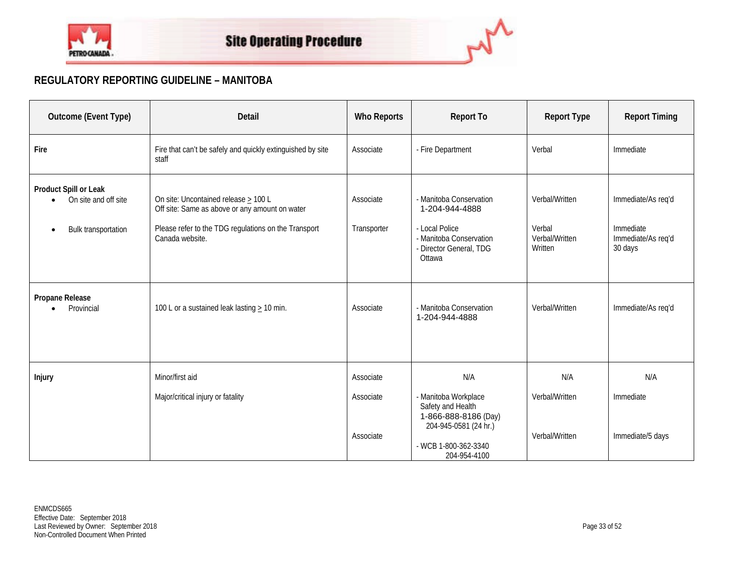

## **REGULATORY REPORTING GUIDELINE – MANITOBA**

| Outcome (Event Type)                                                              | Detail                                                                                                                                                                 | <b>Who Reports</b>                  | <b>Report To</b>                                                                                                                          | <b>Report Type</b>                                    | <b>Report Timing</b>                                             |
|-----------------------------------------------------------------------------------|------------------------------------------------------------------------------------------------------------------------------------------------------------------------|-------------------------------------|-------------------------------------------------------------------------------------------------------------------------------------------|-------------------------------------------------------|------------------------------------------------------------------|
| Fire                                                                              | Fire that can't be safely and quickly extinguished by site<br>staff                                                                                                    | Associate                           | - Fire Department                                                                                                                         | Verbal                                                | Immediate                                                        |
| Product Spill or Leak<br>On site and off site<br>Bulk transportation<br>$\bullet$ | On site: Uncontained release $\geq 100$ L<br>Off site: Same as above or any amount on water<br>Please refer to the TDG regulations on the Transport<br>Canada website. | Associate<br>Transporter            | - Manitoba Conservation<br>1-204-944-4888<br>- Local Police<br>- Manitoba Conservation<br>- Director General, TDG<br>Ottawa               | Verbal/Written<br>Verbal<br>Verbal/Written<br>Written | Immediate/As req'd<br>Immediate<br>Immediate/As req'd<br>30 days |
| Propane Release<br>Provincial                                                     | 100 L or a sustained leak lasting $\geq$ 10 min.                                                                                                                       | Associate                           | - Manitoba Conservation<br>1-204-944-4888                                                                                                 | Verbal/Written                                        | Immediate/As req'd                                               |
| Injury                                                                            | Minor/first aid<br>Major/critical injury or fatality                                                                                                                   | Associate<br>Associate<br>Associate | N/A<br>- Manitoba Workplace<br>Safety and Health<br>1-866-888-8186 (Day)<br>204-945-0581 (24 hr.)<br>- WCB 1-800-362-3340<br>204-954-4100 | N/A<br>Verbal/Written<br>Verbal/Written               | N/A<br>Immediate<br>Immediate/5 days                             |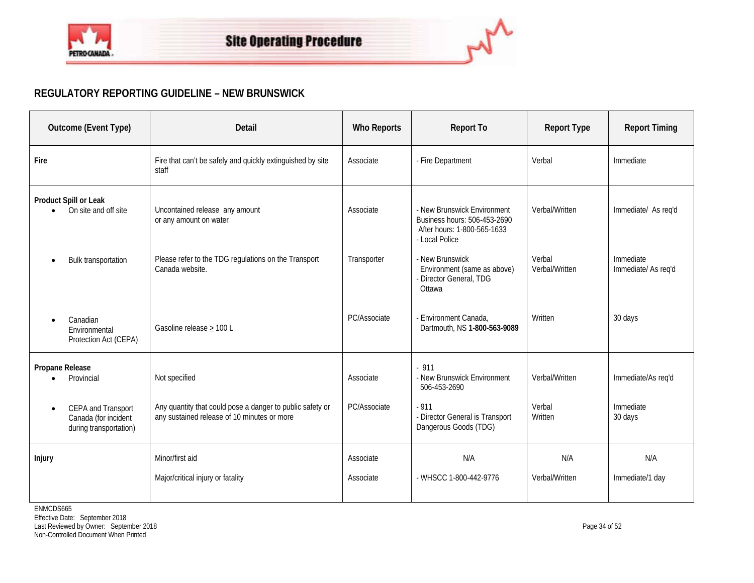

## **REGULATORY REPORTING GUIDELINE – NEW BRUNSWICK**

| Outcome (Event Type)                                                 | Detail                                                                                                   | <b>Who Reports</b>     | <b>Report To</b>                                                                                             | <b>Report Type</b>       | <b>Report Timing</b>             |
|----------------------------------------------------------------------|----------------------------------------------------------------------------------------------------------|------------------------|--------------------------------------------------------------------------------------------------------------|--------------------------|----------------------------------|
| Fire                                                                 | Fire that can't be safely and quickly extinguished by site<br>staff                                      | Associate              | - Fire Department                                                                                            | Verbal                   | Immediate                        |
| Product Spill or Leak<br>On site and off site                        | Uncontained release any amount<br>or any amount on water                                                 | Associate              | - New Brunswick Environment<br>Business hours: 506-453-2690<br>After hours: 1-800-565-1633<br>- Local Police | Verbal/Written           | Immediate/ As req'd              |
| Bulk transportation                                                  | Please refer to the TDG regulations on the Transport<br>Canada website.                                  | Transporter            | - New Brunswick<br>Environment (same as above)<br>- Director General, TDG<br>Ottawa                          | Verbal<br>Verbal/Written | Immediate<br>Immediate/ As req'd |
| Canadian<br>Environmental<br>Protection Act (CEPA)                   | Gasoline release $\geq$ 100 L                                                                            | PC/Associate           | - Environment Canada,<br>Dartmouth, NS 1-800-563-9089                                                        | Written                  | 30 days                          |
| Propane Release<br>Provincial                                        | Not specified                                                                                            | Associate              | $-911$<br>- New Brunswick Environment<br>506-453-2690                                                        | Verbal/Written           | Immediate/As req'd               |
| CEPA and Transport<br>Canada (for incident<br>during transportation) | Any quantity that could pose a danger to public safety or<br>any sustained release of 10 minutes or more | PC/Associate           | $-911$<br>- Director General is Transport<br>Dangerous Goods (TDG)                                           | Verbal<br>Written        | Immediate<br>30 days             |
| Injury                                                               | Minor/first aid<br>Major/critical injury or fatality                                                     | Associate<br>Associate | N/A<br>- WHSCC 1-800-442-9776                                                                                | N/A<br>Verbal/Written    | N/A<br>Immediate/1 day           |

ام

ENMCDS665 Effective Date: September 2018 Last Reviewed by Owner: September 2018 Page 34 of 52 Non-Controlled Document When Printed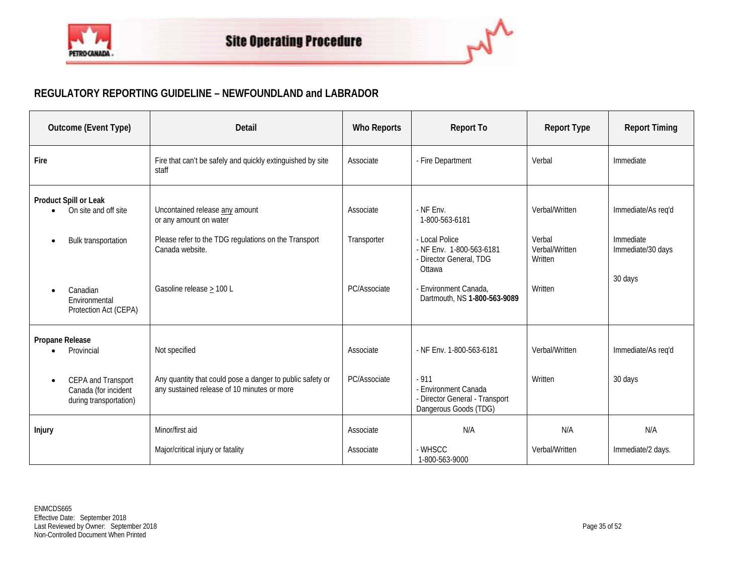

## **REGULATORY REPORTING GUIDELINE – NEWFOUNDLAND and LABRADOR**

| Outcome (Event Type)                                                                                                                           | Detail                                                                                                                                                          | <b>Who Reports</b>                       | <b>Report To</b>                                                                                                                                                        | <b>Report Type</b>                                               | <b>Report Timing</b>                                            |
|------------------------------------------------------------------------------------------------------------------------------------------------|-----------------------------------------------------------------------------------------------------------------------------------------------------------------|------------------------------------------|-------------------------------------------------------------------------------------------------------------------------------------------------------------------------|------------------------------------------------------------------|-----------------------------------------------------------------|
| Fire                                                                                                                                           | Fire that can't be safely and quickly extinguished by site<br>staff                                                                                             | Associate                                | - Fire Department                                                                                                                                                       | Verbal                                                           | Immediate                                                       |
| Product Spill or Leak<br>On site and off site<br><b>Bulk transportation</b><br>$\bullet$<br>Canadian<br>Environmental<br>Protection Act (CEPA) | Uncontained release any amount<br>or any amount on water<br>Please refer to the TDG regulations on the Transport<br>Canada website.<br>Gasoline release > 100 L | Associate<br>Transporter<br>PC/Associate | $-$ NF Env.<br>1-800-563-6181<br>- Local Police<br>- NF Env. 1-800-563-6181<br>- Director General, TDG<br>Ottawa<br>Environment Canada,<br>Dartmouth, NS 1-800-563-9089 | Verbal/Written<br>Verbal<br>Verbal/Written<br>Written<br>Written | Immediate/As req'd<br>Immediate<br>Immediate/30 days<br>30 days |
| Propane Release<br>Provincial<br>CEPA and Transport<br>$\bullet$<br>Canada (for incident<br>during transportation)                             | Not specified<br>Any quantity that could pose a danger to public safety or<br>any sustained release of 10 minutes or more                                       | Associate<br>PC/Associate                | - NF Env. 1-800-563-6181<br>$-911$<br>- Environment Canada<br>- Director General - Transport<br>Dangerous Goods (TDG)                                                   | Verbal/Written<br>Written                                        | Immediate/As reg'd<br>30 days                                   |
| Injury                                                                                                                                         | Minor/first aid<br>Major/critical injury or fatality                                                                                                            | Associate<br>Associate                   | N/A<br>- WHSCC<br>1-800-563-9000                                                                                                                                        | N/A<br>Verbal/Written                                            | N/A<br>Immediate/2 days.                                        |

 $\overline{\phantom{a}}$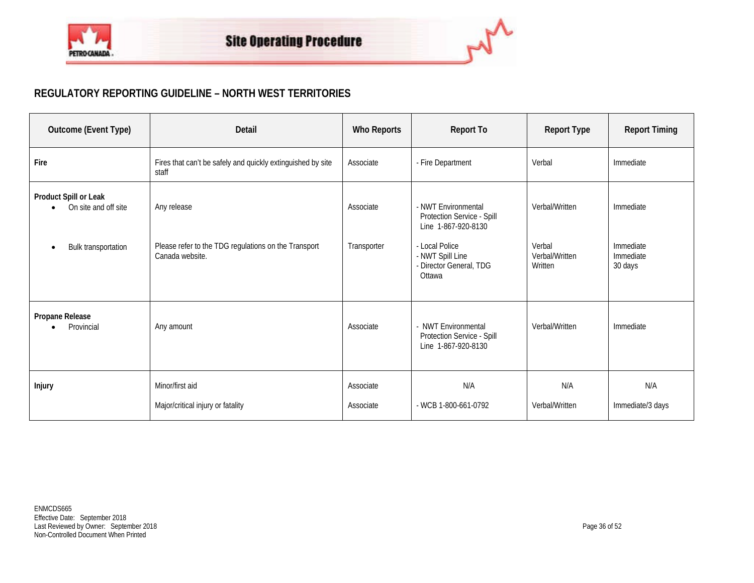

## **REGULATORY REPORTING GUIDELINE – NORTH WEST TERRITORIES**

| Outcome (Event Type)                                                              | Detail                                                                                 | <b>Who Reports</b>       | <b>Report To</b>                                                                                                                                    | <b>Report Type</b>                                    | <b>Report Timing</b>                           |
|-----------------------------------------------------------------------------------|----------------------------------------------------------------------------------------|--------------------------|-----------------------------------------------------------------------------------------------------------------------------------------------------|-------------------------------------------------------|------------------------------------------------|
| Fire                                                                              | Fires that can't be safely and quickly extinguished by site<br>staff                   | Associate                | - Fire Department                                                                                                                                   | Verbal                                                | Immediate                                      |
| Product Spill or Leak<br>On site and off site<br>Bulk transportation<br>$\bullet$ | Any release<br>Please refer to the TDG regulations on the Transport<br>Canada website. | Associate<br>Transporter | - NWT Environmental<br>Protection Service - Spill<br>Line 1-867-920-8130<br>- Local Police<br>- NWT Spill Line<br>- Director General, TDG<br>Ottawa | Verbal/Written<br>Verbal<br>Verbal/Written<br>Written | Immediate<br>Immediate<br>Immediate<br>30 days |
| Propane Release                                                                   |                                                                                        |                          |                                                                                                                                                     |                                                       |                                                |
| Provincial                                                                        | Any amount                                                                             | Associate                | - NWT Environmental<br>Protection Service - Spill<br>Line 1-867-920-8130                                                                            | Verbal/Written                                        | Immediate                                      |
| Injury                                                                            | Minor/first aid<br>Major/critical injury or fatality                                   | Associate<br>Associate   | N/A<br>- WCB 1-800-661-0792                                                                                                                         | N/A<br>Verbal/Written                                 | N/A<br>Immediate/3 days                        |

ام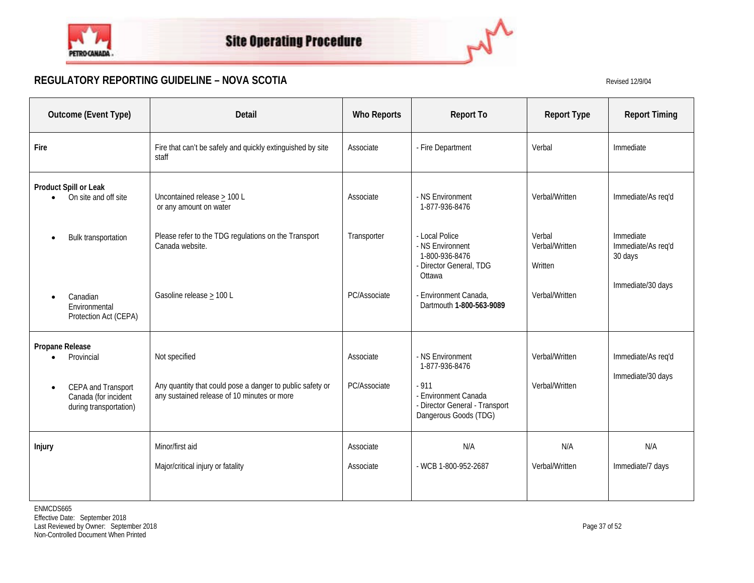



## **REGULATORY REPORTING GUIDELINE – NOVA SCOTIA** Revised 12/9/04

| Outcome (Event Type)                                                                                               | <b>Detail</b>                                                                                                             | <b>Who Reports</b>        | <b>Report To</b>                                                                                                                | <b>Report Type</b>                  | <b>Report Timing</b>                       |
|--------------------------------------------------------------------------------------------------------------------|---------------------------------------------------------------------------------------------------------------------------|---------------------------|---------------------------------------------------------------------------------------------------------------------------------|-------------------------------------|--------------------------------------------|
| Fire                                                                                                               | Fire that can't be safely and quickly extinguished by site<br>staff                                                       | Associate                 | - Fire Department                                                                                                               | Verbal                              | Immediate                                  |
| Product Spill or Leak<br>On site and off site<br>$\bullet$                                                         | Uncontained release $\geq$ 100 L<br>or any amount on water                                                                | Associate                 | - NS Environment<br>1-877-936-8476                                                                                              | Verbal/Written                      | Immediate/As req'd                         |
| Bulk transportation                                                                                                | Please refer to the TDG regulations on the Transport<br>Canada website.                                                   | Transporter               | - Local Police<br>- NS Environnent<br>1-800-936-8476<br>- Director General, TDG<br>Ottawa                                       | Verbal<br>Verbal/Written<br>Written | Immediate<br>Immediate/As req'd<br>30 days |
| Canadian<br>Environmental<br>Protection Act (CEPA)                                                                 | Gasoline release > 100 L                                                                                                  | PC/Associate              | - Environment Canada,<br>Dartmouth 1-800-563-9089                                                                               | Verbal/Written                      | Immediate/30 days                          |
| Propane Release<br>Provincial<br>CEPA and Transport<br>$\bullet$<br>Canada (for incident<br>during transportation) | Not specified<br>Any quantity that could pose a danger to public safety or<br>any sustained release of 10 minutes or more | Associate<br>PC/Associate | - NS Environment<br>1-877-936-8476<br>$-911$<br>- Environment Canada<br>- Director General - Transport<br>Dangerous Goods (TDG) | Verbal/Written<br>Verbal/Written    | Immediate/As req'd<br>Immediate/30 days    |
| Injury                                                                                                             | Minor/first aid<br>Major/critical injury or fatality                                                                      | Associate<br>Associate    | N/A<br>- WCB 1-800-952-2687                                                                                                     | N/A<br>Verbal/Written               | N/A<br>Immediate/7 days                    |

ENMCDS665 Effective Date: September 2018 Last Reviewed by Owner: September 2018 Page 37 of 52 Non-Controlled Document When Printed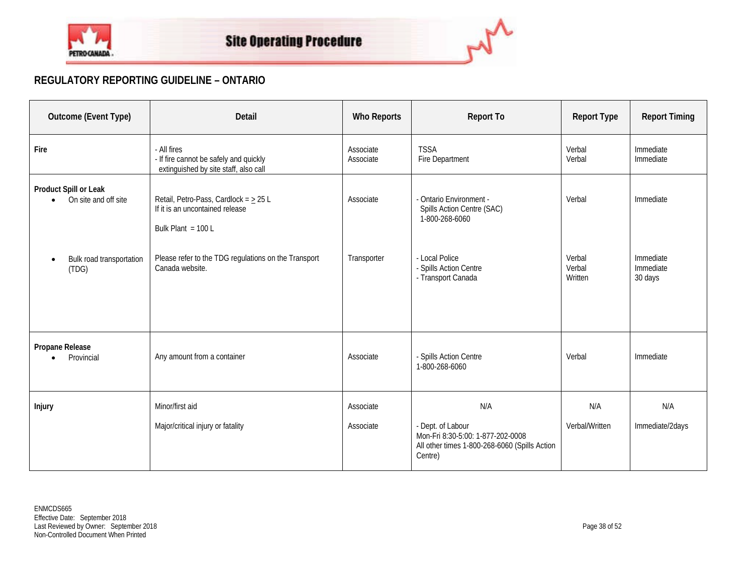

## **REGULATORY REPORTING GUIDELINE – ONTARIO**

| Outcome (Event Type)                                       | <b>Detail</b>                                                                                         | <b>Who Reports</b>     | <b>Report To</b>                                                                                                          | <b>Report Type</b>          | <b>Report Timing</b>              |
|------------------------------------------------------------|-------------------------------------------------------------------------------------------------------|------------------------|---------------------------------------------------------------------------------------------------------------------------|-----------------------------|-----------------------------------|
| Fire                                                       | - All fires<br>- If fire cannot be safely and quickly<br>extinguished by site staff, also call        | Associate<br>Associate | <b>TSSA</b><br>Fire Department                                                                                            | Verbal<br>Verbal            | Immediate<br>Immediate            |
| Product Spill or Leak<br>On site and off site<br>$\bullet$ | Retail, Petro-Pass, Cardlock = $\geq$ 25 L<br>If it is an uncontained release<br>Bulk Plant = $100 L$ | Associate              | - Ontario Environment -<br>Spills Action Centre (SAC)<br>1-800-268-6060                                                   | Verbal                      | Immediate                         |
| Bulk road transportation<br>(TDG)                          | Please refer to the TDG regulations on the Transport<br>Canada website.                               | Transporter            | - Local Police<br>- Spills Action Centre<br>- Transport Canada                                                            | Verbal<br>Verbal<br>Written | Immediate<br>Immediate<br>30 days |
| Propane Release<br>Provincial                              | Any amount from a container                                                                           | Associate              | - Spills Action Centre<br>1-800-268-6060                                                                                  | Verbal                      | Immediate                         |
| Injury                                                     | Minor/first aid<br>Major/critical injury or fatality                                                  | Associate<br>Associate | N/A<br>- Dept. of Labour<br>Mon-Fri 8:30-5:00: 1-877-202-0008<br>All other times 1-800-268-6060 (Spills Action<br>Centre) | N/A<br>Verbal/Written       | N/A<br>Immediate/2days            |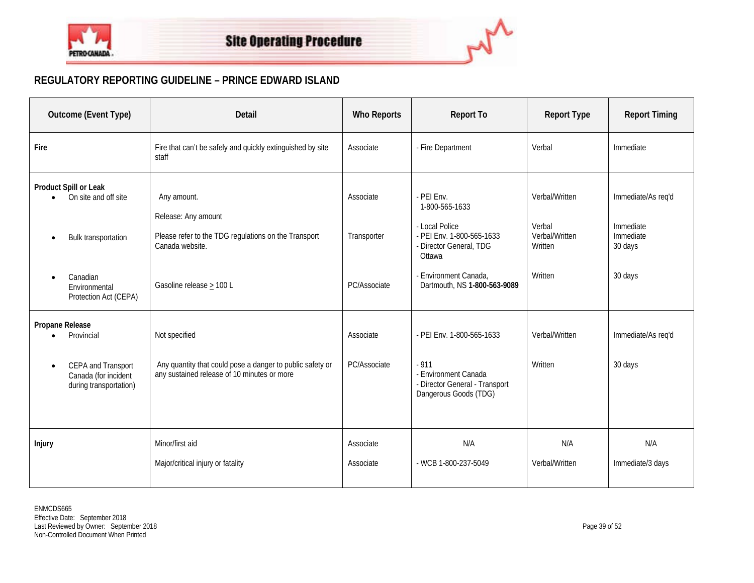

## **REGULATORY REPORTING GUIDELINE – PRINCE EDWARD ISLAND**

| Outcome (Event Type)                                                                                                                    | <b>Detail</b>                                                                                                                             | <b>Who Reports</b>                       | <b>Report To</b>                                                                                                                                                          | <b>Report Type</b>                                               | <b>Report Timing</b>                                               |
|-----------------------------------------------------------------------------------------------------------------------------------------|-------------------------------------------------------------------------------------------------------------------------------------------|------------------------------------------|---------------------------------------------------------------------------------------------------------------------------------------------------------------------------|------------------------------------------------------------------|--------------------------------------------------------------------|
| Fire                                                                                                                                    | Fire that can't be safely and quickly extinguished by site<br>staff                                                                       | Associate                                | - Fire Department                                                                                                                                                         | Verbal                                                           | Immediate                                                          |
| Product Spill or Leak<br>On site and off site<br>Bulk transportation<br>$\bullet$<br>Canadian<br>Environmental<br>Protection Act (CEPA) | Any amount.<br>Release: Any amount<br>Please refer to the TDG regulations on the Transport<br>Canada website.<br>Gasoline release > 100 L | Associate<br>Transporter<br>PC/Associate | - PEI Env.<br>1-800-565-1633<br>- Local Police<br>- PEI Env. 1-800-565-1633<br>- Director General, TDG<br>Ottawa<br>- Environment Canada,<br>Dartmouth, NS 1-800-563-9089 | Verbal/Written<br>Verbal<br>Verbal/Written<br>Written<br>Written | Immediate/As req'd<br>Immediate<br>Immediate<br>30 days<br>30 days |
| Propane Release<br>Provincial<br>CEPA and Transport<br>$\bullet$<br>Canada (for incident<br>during transportation)                      | Not specified<br>Any quantity that could pose a danger to public safety or<br>any sustained release of 10 minutes or more                 | Associate<br>PC/Associate                | - PEI Env. 1-800-565-1633<br>$-911$<br>- Environment Canada<br>- Director General - Transport<br>Dangerous Goods (TDG)                                                    | Verbal/Written<br>Written                                        | Immediate/As req'd<br>30 days                                      |
| Injury                                                                                                                                  | Minor/first aid<br>Major/critical injury or fatality                                                                                      | Associate<br>Associate                   | N/A<br>- WCB 1-800-237-5049                                                                                                                                               | N/A<br>Verbal/Written                                            | N/A<br>Immediate/3 days                                            |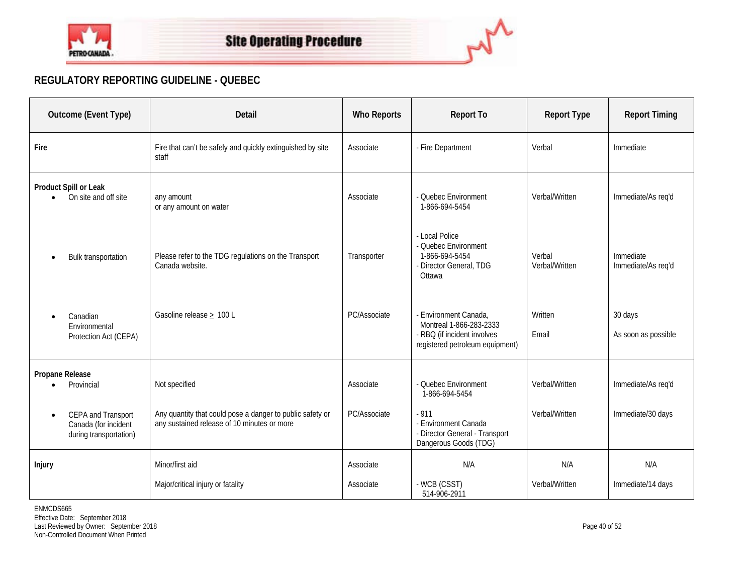



## **REGULATORY REPORTING GUIDELINE - QUEBEC**

| Outcome (Event Type)                                                              | <b>Detail</b>                                                                                            | <b>Who Reports</b> | <b>Report To</b>                                                                                                   | <b>Report Type</b>       | <b>Report Timing</b>            |
|-----------------------------------------------------------------------------------|----------------------------------------------------------------------------------------------------------|--------------------|--------------------------------------------------------------------------------------------------------------------|--------------------------|---------------------------------|
| Fire                                                                              | Fire that can't be safely and quickly extinguished by site<br>staff                                      | Associate          | - Fire Department                                                                                                  | Verbal                   | Immediate                       |
| Product Spill or Leak<br>On site and off site                                     | any amount<br>or any amount on water                                                                     | Associate          | - Ouebec Environment<br>1-866-694-5454                                                                             | Verbal/Written           | Immediate/As req'd              |
| <b>Bulk transportation</b>                                                        | Please refer to the TDG regulations on the Transport<br>Canada website.                                  | Transporter        | - Local Police<br>- Quebec Environment<br>1-866-694-5454<br>- Director General, TDG<br>Ottawa                      | Verbal<br>Verbal/Written | Immediate<br>Immediate/As req'd |
| Canadian<br>Environmental<br>Protection Act (CEPA)                                | Gasoline release $\geq 100$ L                                                                            | PC/Associate       | - Environment Canada,<br>Montreal 1-866-283-2333<br>- RBQ (if incident involves<br>registered petroleum equipment) | Written<br>Email         | 30 days<br>As soon as possible  |
| Propane Release<br>Provincial                                                     | Not specified                                                                                            | Associate          | - Quebec Environment<br>1-866-694-5454                                                                             | Verbal/Written           | Immediate/As req'd              |
| CEPA and Transport<br>$\bullet$<br>Canada (for incident<br>during transportation) | Any quantity that could pose a danger to public safety or<br>any sustained release of 10 minutes or more | PC/Associate       | $-911$<br>- Environment Canada<br>- Director General - Transport<br>Dangerous Goods (TDG)                          | Verbal/Written           | Immediate/30 days               |
| Injury                                                                            | Minor/first aid                                                                                          | Associate          | N/A                                                                                                                | N/A                      | N/A                             |
|                                                                                   | Major/critical injury or fatality                                                                        | Associate          | - WCB (CSST)<br>514-906-2911                                                                                       | Verbal/Written           | Immediate/14 days               |

ENMCDS665 Effective Date: September 2018 Last Reviewed by Owner: September 2018 Page 40 of 52 Non-Controlled Document When Printed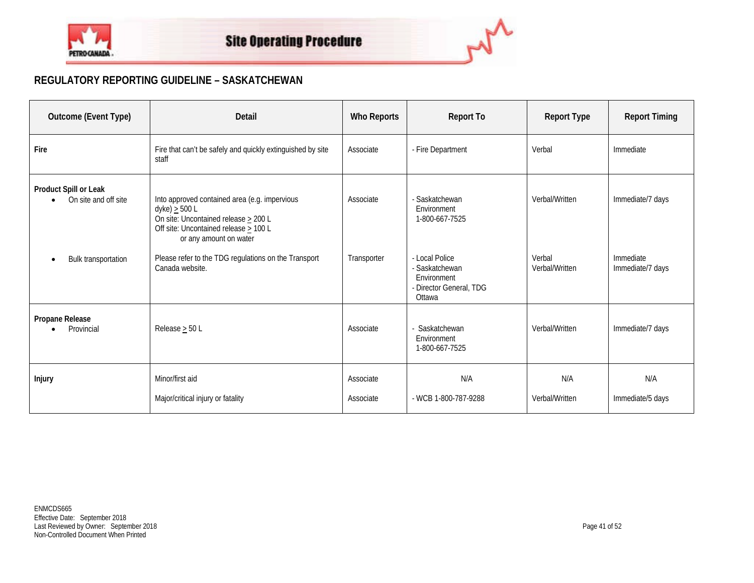

## **REGULATORY REPORTING GUIDELINE – SASKATCHEWAN**

| Outcome (Event Type)                                       | <b>Detail</b>                                                                                                                                                                            | Who Reports            | <b>Report To</b>                                                                     | <b>Report Type</b>       | <b>Report Timing</b>          |
|------------------------------------------------------------|------------------------------------------------------------------------------------------------------------------------------------------------------------------------------------------|------------------------|--------------------------------------------------------------------------------------|--------------------------|-------------------------------|
| Fire                                                       | Fire that can't be safely and quickly extinguished by site<br>staff                                                                                                                      | Associate              | - Fire Department                                                                    | Verbal                   | Immediate                     |
| Product Spill or Leak<br>On site and off site<br>$\bullet$ | Into approved contained area (e.g. impervious<br>dyke) $\geq$ 500 L<br>On site: Uncontained release $\geq 200$ L<br>Off site: Uncontained release $\geq 100$ L<br>or any amount on water | Associate              | - Saskatchewan<br>Environment<br>1-800-667-7525                                      | Verbal/Written           | Immediate/7 days              |
| Bulk transportation                                        | Please refer to the TDG regulations on the Transport<br>Canada website.                                                                                                                  | Transporter            | - Local Police<br>- Saskatchewan<br>Environment<br>- Director General, TDG<br>Ottawa | Verbal<br>Verbal/Written | Immediate<br>Immediate/7 days |
| Propane Release<br>Provincial                              | Release $\geq$ 50 L                                                                                                                                                                      | Associate              | - Saskatchewan<br>Environment<br>1-800-667-7525                                      | Verbal/Written           | Immediate/7 days              |
| <b>Injury</b>                                              | Minor/first aid<br>Major/critical injury or fatality                                                                                                                                     | Associate<br>Associate | N/A<br>- WCB 1-800-787-9288                                                          | N/A<br>Verbal/Written    | N/A<br>Immediate/5 days       |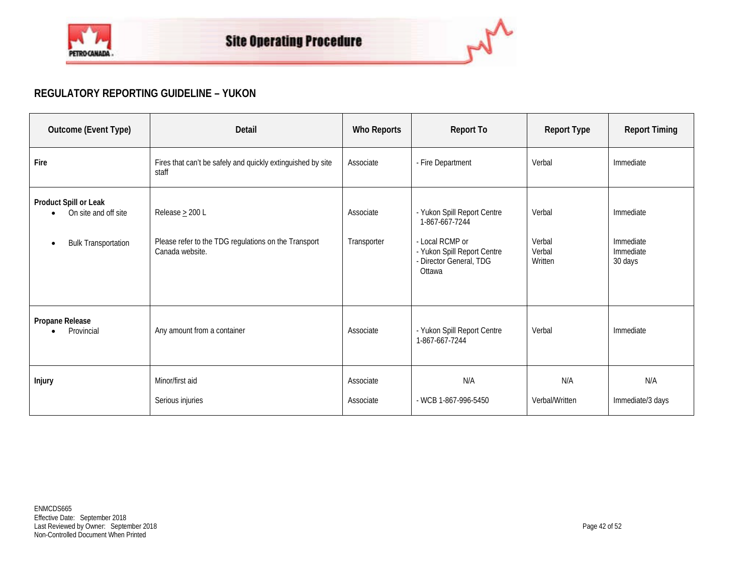

## **REGULATORY REPORTING GUIDELINE – YUKON**

| Outcome (Event Type)                                                                     | Detail                                                                                          | <b>Who Reports</b>       | <b>Report To</b>                                                                                                                     | <b>Report Type</b>                    | <b>Report Timing</b>                           |
|------------------------------------------------------------------------------------------|-------------------------------------------------------------------------------------------------|--------------------------|--------------------------------------------------------------------------------------------------------------------------------------|---------------------------------------|------------------------------------------------|
| Fire                                                                                     | Fires that can't be safely and quickly extinguished by site<br>staff                            | Associate                | - Fire Department                                                                                                                    | Verbal                                | Immediate                                      |
| Product Spill or Leak<br>On site and off site<br><b>Bulk Transportation</b><br>$\bullet$ | Release $\geq$ 200 L<br>Please refer to the TDG regulations on the Transport<br>Canada website. | Associate<br>Transporter | - Yukon Spill Report Centre<br>1-867-667-7244<br>- Local RCMP or<br>- Yukon Spill Report Centre<br>- Director General, TDG<br>Ottawa | Verbal<br>Verbal<br>Verbal<br>Written | Immediate<br>Immediate<br>Immediate<br>30 days |
| Propane Release<br>Provincial                                                            | Any amount from a container                                                                     | Associate                | - Yukon Spill Report Centre<br>1-867-667-7244                                                                                        | Verbal                                | Immediate                                      |
| Injury                                                                                   | Minor/first aid<br>Serious injuries                                                             | Associate<br>Associate   | N/A<br>- WCB 1-867-996-5450                                                                                                          | N/A<br>Verbal/Written                 | N/A<br>Immediate/3 days                        |

ام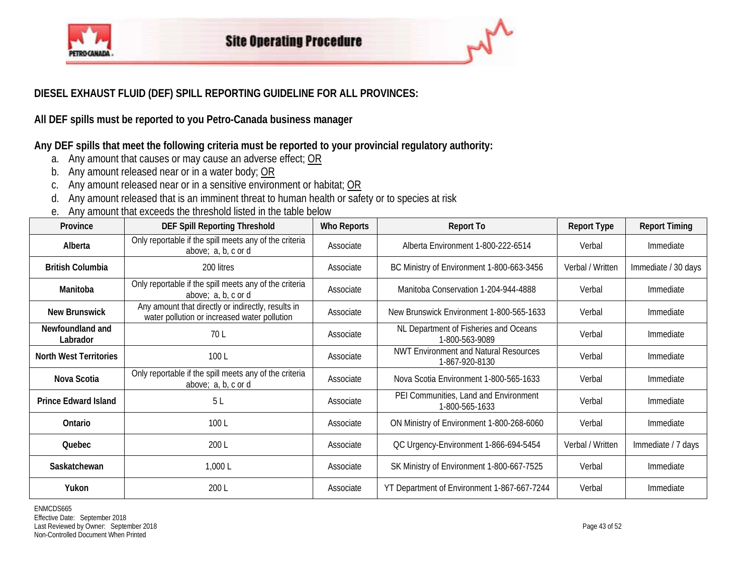

## **DIESEL EXHAUST FLUID (DEF) SPILL REPORTING GUIDELINE FOR ALL PROVINCES:**

**All DEF spills must be reported to you Petro-Canada business manager**

**Any DEF spills that meet the following criteria must be reported to your provincial regulatory authority:**

- a. Any amount that causes or may cause an adverse effect; OR
- b. Any amount released near or in a water body; OR
- c. Any amount released near or in a sensitive environment or habitat; OR
- d. Any amount released that is an imminent threat to human health or safety or to species at risk
- e. Any amount that exceeds the threshold listed in the table below

| Province                      | <b>DEF Spill Reporting Threshold</b>                                                               | <b>Who Reports</b> | <b>Report To</b>                                               | Report Type      | <b>Report Timing</b> |
|-------------------------------|----------------------------------------------------------------------------------------------------|--------------------|----------------------------------------------------------------|------------------|----------------------|
| Alberta                       | Only reportable if the spill meets any of the criteria<br>above; a, b, c or d                      | Associate          | Alberta Environment 1-800-222-6514                             | Verbal           | Immediate            |
| <b>British Columbia</b>       | 200 litres                                                                                         | Associate          | BC Ministry of Environment 1-800-663-3456                      | Verbal / Written | Immediate / 30 days  |
| Manitoba                      | Only reportable if the spill meets any of the criteria<br>above; a, b, c or d                      | Associate          | Manitoba Conservation 1-204-944-4888                           | Verbal           | Immediate            |
| <b>New Brunswick</b>          | Any amount that directly or indirectly, results in<br>water pollution or increased water pollution | Associate          | New Brunswick Environment 1-800-565-1633                       | Verbal           | Immediate            |
| Newfoundland and<br>Labrador  | 70 L                                                                                               | Associate          | NL Department of Fisheries and Oceans<br>1-800-563-9089        | Verbal           | Immediate            |
| <b>North West Territories</b> | 100L                                                                                               | Associate          | <b>NWT Environment and Natural Resources</b><br>1-867-920-8130 | Verbal           | Immediate            |
| Nova Scotia                   | Only reportable if the spill meets any of the criteria<br>above; a, b, c or d                      | Associate          | Nova Scotia Environment 1-800-565-1633                         | Verbal           | Immediate            |
| <b>Prince Edward Island</b>   | 5 <sub>L</sub>                                                                                     | Associate          | PEI Communities, Land and Environment<br>1-800-565-1633        | Verbal           | Immediate            |
| Ontario                       | 100L                                                                                               | Associate          | ON Ministry of Environment 1-800-268-6060                      | Verbal           | Immediate            |
| <b>Quebec</b>                 | 200 L                                                                                              | Associate          | QC Urgency-Environment 1-866-694-5454                          | Verbal / Written | Immediate / 7 days   |
| Saskatchewan                  | 1,000 L                                                                                            | Associate          | SK Ministry of Environment 1-800-667-7525                      | Verbal           | Immediate            |
| Yukon                         | 200 L                                                                                              | Associate          | YT Department of Environment 1-867-667-7244                    | Verbal           | Immediate            |

ENMCDS665 Effective Date: September 2018 Last Reviewed by Owner: September 2018 **Page 43 of 52** Page 43 of 52 Non-Controlled Document When Printed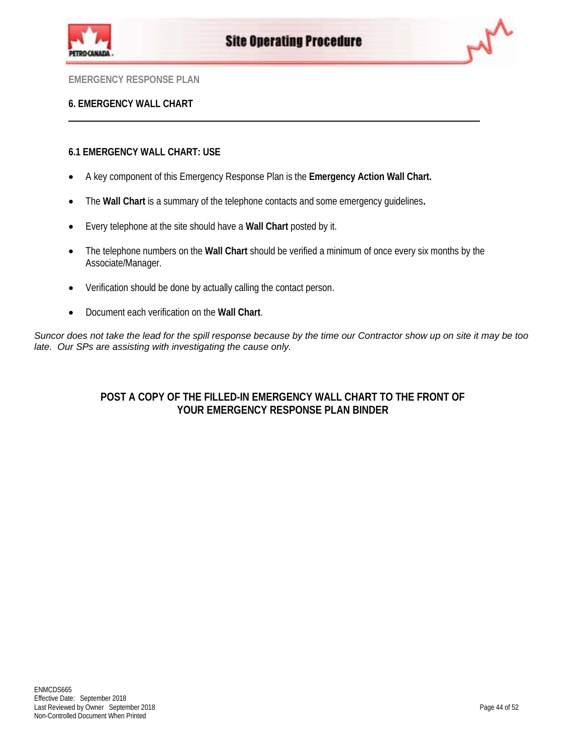



## **6. EMERGENCY WALL CHART**

## **6.1 EMERGENCY WALL CHART: USE**

- A key component of this Emergency Response Plan is the **Emergency Action Wall Chart.**
- The **Wall Chart** is a summary of the telephone contacts and some emergency guidelines**.**
- Every telephone at the site should have a **Wall Chart** posted by it.
- The telephone numbers on the **Wall Chart** should be verified a minimum of once every six months by the Associate/Manager.
- Verification should be done by actually calling the contact person.
- Document each verification on the **Wall Chart**.

*Suncor does not take the lead for the spill response because by the time our Contractor show up on site it may be too late. Our SPs are assisting with investigating the cause only.*

## **POST A COPY OF THE FILLED-IN EMERGENCY WALL CHART TO THE FRONT OF YOUR EMERGENCY RESPONSE PLAN BINDER**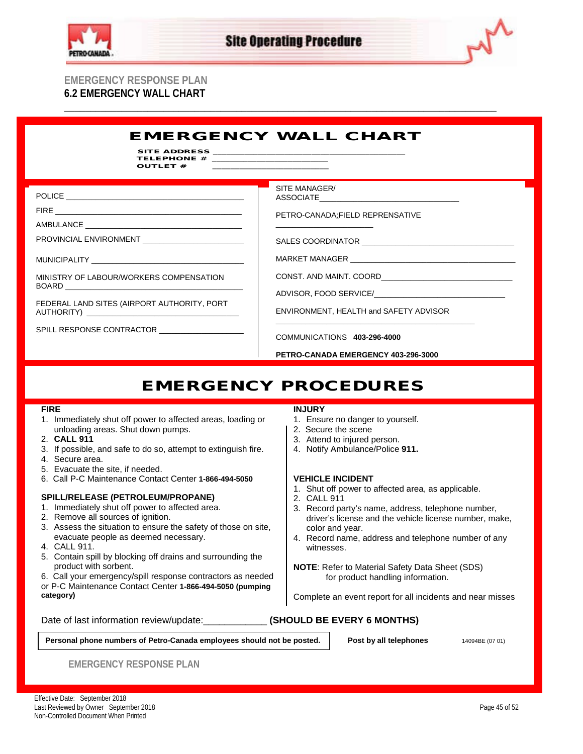

**\_\_\_\_\_\_\_\_\_\_\_\_\_\_\_\_\_\_\_\_\_\_\_\_\_\_\_\_\_\_\_\_\_\_\_\_\_\_\_\_\_\_\_\_\_\_\_\_\_\_\_\_\_\_\_\_\_\_\_\_\_\_\_\_\_\_\_\_\_\_\_\_\_\_\_\_\_\_\_\_\_\_\_**



## **EMERGENCY RESPONSE PLAN 6.2 EMERGENCY WALL CHART**

### EMERGENCY WALL CHART SITE ADDRESS TELEPHONE  $#$ OUTLET # POLICE **Example 20** FIRE  $\_$ AMBULANCE PROVINCIAL ENVIRONMENT MUNICIPALITY \_\_ MINISTRY OF LABOUR/WORKERS COMPENSATION BOARD FEDERAL LAND SITES (AIRPORT AUTHORITY, PORT AUTHORITY) \_\_\_\_\_\_\_\_\_\_\_\_\_\_\_\_\_\_\_\_\_\_\_\_\_\_\_\_\_\_\_\_\_\_\_\_ SPILL RESPONSE CONTRACTOR \_\_\_ SITE MANAGER/ ASSOCIATE\_\_\_\_\_\_\_\_\_\_\_\_\_\_\_\_\_\_\_\_\_\_\_\_\_\_\_\_\_\_\_\_\_ PETRO-CANADA:FIELD REPRENSATIVE  $\frac{1}{2}$  ,  $\frac{1}{2}$  ,  $\frac{1}{2}$  ,  $\frac{1}{2}$  ,  $\frac{1}{2}$  ,  $\frac{1}{2}$  ,  $\frac{1}{2}$  ,  $\frac{1}{2}$  ,  $\frac{1}{2}$  ,  $\frac{1}{2}$  ,  $\frac{1}{2}$  ,  $\frac{1}{2}$  ,  $\frac{1}{2}$  ,  $\frac{1}{2}$  ,  $\frac{1}{2}$  ,  $\frac{1}{2}$  ,  $\frac{1}{2}$  ,  $\frac{1}{2}$  ,  $\frac{1$ SALES COORDINATOR MARKET MANAGER CONST. AND MAINT. COORD ADVISOR, FOOD SERVICE/ ENVIRONMENT, HEALTH and SAFETY ADVISOR \_\_\_\_\_\_\_\_\_\_\_\_\_\_\_\_\_\_\_\_\_\_\_\_\_\_\_\_\_\_\_\_\_\_\_\_\_\_\_\_\_\_\_\_\_\_\_ COMMUNICATIONS **403-296-4000 PETRO-CANADA EMERGENCY 403-296-3000**

## EMERGENCY PROCEDURES

## **FIRE**

- 1. Immediately shut off power to affected areas, loading or unloading areas. Shut down pumps.
- 2. **CALL 911**
- 3. If possible, and safe to do so, attempt to extinguish fire.
- 4. Secure area.
- 5. Evacuate the site, if needed.
- 6. Call P-C Maintenance Contact Center **1-866-494-5050**

## **SPILL/RELEASE (PETROLEUM/PROPANE)**

- 1. Immediately shut off power to affected area.
- 2. Remove all sources of ignition.
- 3. Assess the situation to ensure the safety of those on site, evacuate people as deemed necessary.
- 4. CALL 911.

ENMCDS665

- 5. Contain spill by blocking off drains and surrounding the product with sorbent.
- 6. Call your emergency/spill response contractors as needed or P-C Maintenance Contact Center **1-866-494-5050 (pumping category)**

## Date of last information review/update: **All and SHOULD BE EVERY 6 MONTHS)**

## **INJURY**

- 1. Ensure no danger to yourself.
- 2. Secure the scene
- 3. Attend to injured person.
- 4. Notify Ambulance/Police **911.**

## **VEHICLE INCIDENT**

- 1. Shut off power to affected area, as applicable.
- 2. CALL 911
- 3. Record party's name, address, telephone number, driver's license and the vehicle license number, make, color and year.
- 4. Record name, address and telephone number of any witnesses.
- **NOTE**: Refer to Material Safety Data Sheet (SDS) for product handling information.

Complete an event report for all incidents and near misses

**Personal phone numbers of Petro-Canada employees should not be posted. Post by all telephones** 14094BE (07 01)

**EMERGENCY RESPONSE PLAN**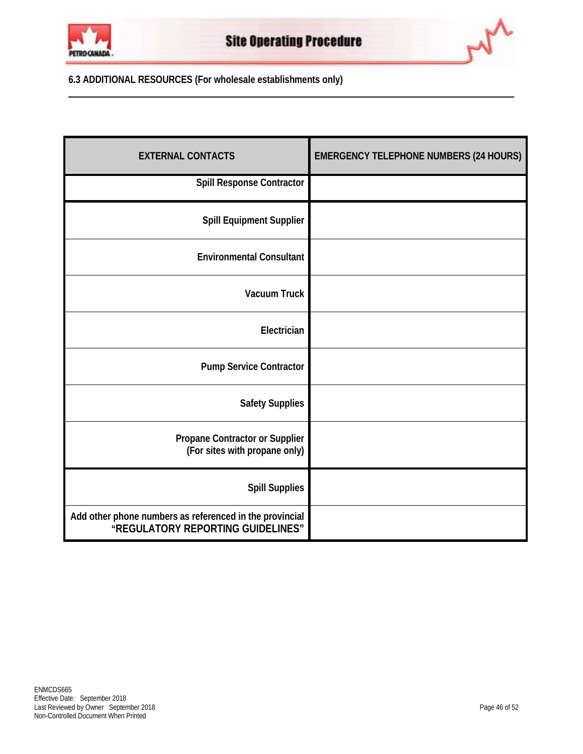



**6.3 ADDITIONAL RESOURCES (For wholesale establishments only)**

| <b>EXTERNAL CONTACTS</b>                                                                     | <b>EMERGENCY TELEPHONE NUMBERS (24 HOURS)</b> |
|----------------------------------------------------------------------------------------------|-----------------------------------------------|
| <b>Spill Response Contractor</b>                                                             |                                               |
| <b>Spill Equipment Supplier</b>                                                              |                                               |
| <b>Environmental Consultant</b>                                                              |                                               |
| <b>Vacuum Truck</b>                                                                          |                                               |
| Electrician                                                                                  |                                               |
| <b>Pump Service Contractor</b>                                                               |                                               |
| <b>Safety Supplies</b>                                                                       |                                               |
| Propane Contractor or Supplier<br>(For sites with propane only)                              |                                               |
| <b>Spill Supplies</b>                                                                        |                                               |
| Add other phone numbers as referenced in the provincial<br>"REGULATORY REPORTING GUIDELINES" |                                               |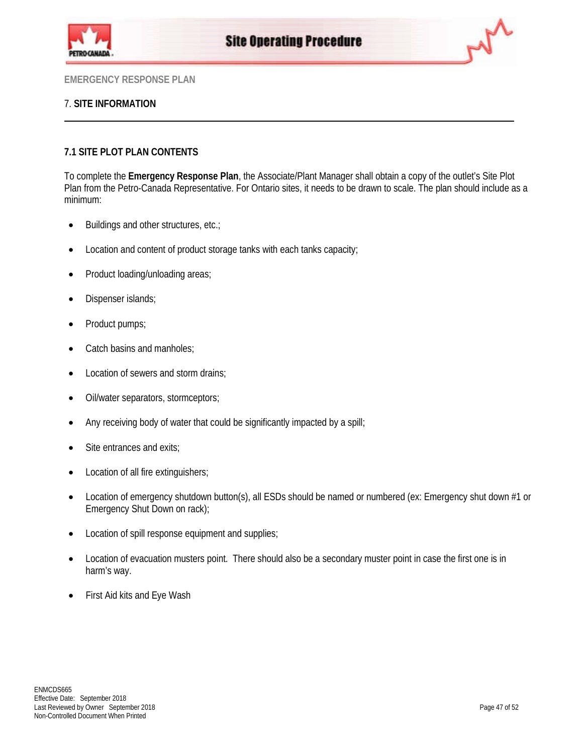



## 7. **SITE INFORMATION**

## **7.1 SITE PLOT PLAN CONTENTS**

To complete the **Emergency Response Plan**, the Associate/Plant Manager shall obtain a copy of the outlet's Site Plot Plan from the Petro-Canada Representative. For Ontario sites, it needs to be drawn to scale. The plan should include as a minimum:

- Buildings and other structures, etc.;
- Location and content of product storage tanks with each tanks capacity;
- Product loading/unloading areas;
- Dispenser islands;
- Product pumps;
- Catch basins and manholes:
- Location of sewers and storm drains;
- Oil/water separators, stormceptors;
- Any receiving body of water that could be significantly impacted by a spill;
- Site entrances and exits;
- Location of all fire extinguishers;
- Location of emergency shutdown button(s), all ESDs should be named or numbered (ex: Emergency shut down #1 or Emergency Shut Down on rack);
- Location of spill response equipment and supplies;
- Location of evacuation musters point. There should also be a secondary muster point in case the first one is in harm's way.
- First Aid kits and Eye Wash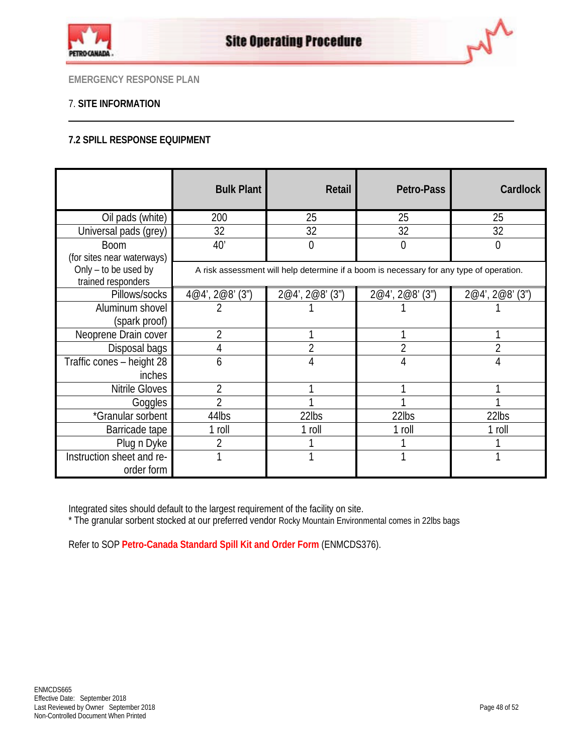



## 7. **SITE INFORMATION**

## **7.2 SPILL RESPONSE EQUIPMENT**

|                                                                          | <b>Bulk Plant</b>                                                                       | Retail          | Petro-Pass      | <b>Cardlock</b> |  |
|--------------------------------------------------------------------------|-----------------------------------------------------------------------------------------|-----------------|-----------------|-----------------|--|
| Oil pads (white)                                                         | 200                                                                                     | 25              | 25              | 25              |  |
| Universal pads (grey)                                                    | 32                                                                                      | 32              | 32              | 32              |  |
| <b>Boom</b>                                                              | 40'                                                                                     | 0               | 0               | $\overline{0}$  |  |
| (for sites near waterways)<br>Only - to be used by<br>trained responders | A risk assessment will help determine if a boom is necessary for any type of operation. |                 |                 |                 |  |
| Pillows/socks                                                            | 4@4', 2@8' (3")                                                                         | 2@4', 2@8' (3") | 2@4', 2@8' (3") | 2@4', 2@8' (3") |  |
| Aluminum shovel                                                          | 2                                                                                       |                 |                 |                 |  |
| (spark proof)                                                            |                                                                                         |                 |                 |                 |  |
| Neoprene Drain cover                                                     | $\overline{2}$                                                                          |                 |                 |                 |  |
| Disposal bags                                                            | 4                                                                                       |                 |                 |                 |  |
| Traffic cones - height 28                                                | 6                                                                                       | 4               |                 | 4               |  |
| inches                                                                   |                                                                                         |                 |                 |                 |  |
| Nitrile Gloves                                                           | $\overline{2}$                                                                          |                 |                 |                 |  |
| Goggles                                                                  | $\overline{\phantom{a}}$                                                                |                 |                 |                 |  |
| *Granular sorbent                                                        | 44lbs                                                                                   | 22lbs           | 22lbs           | 22lbs           |  |
| Barricade tape                                                           | 1 roll                                                                                  | 1 roll          | 1 roll          | 1 roll          |  |
| Plug n Dyke                                                              | $\overline{2}$                                                                          |                 |                 |                 |  |
| Instruction sheet and re-                                                |                                                                                         |                 |                 |                 |  |
| order form                                                               |                                                                                         |                 |                 |                 |  |

Integrated sites should default to the largest requirement of the facility on site.

\* The granular sorbent stocked at our preferred vendor Rocky Mountain Environmental comes in 22lbs bags

Refer to SOP **[Petro-Canada Standard Spill Kit and Order Form](http://pcagateway.network.lan/EN/SOP/Lists/SOPDocuments/ENMCDS376.pdf)** (ENMCDS376).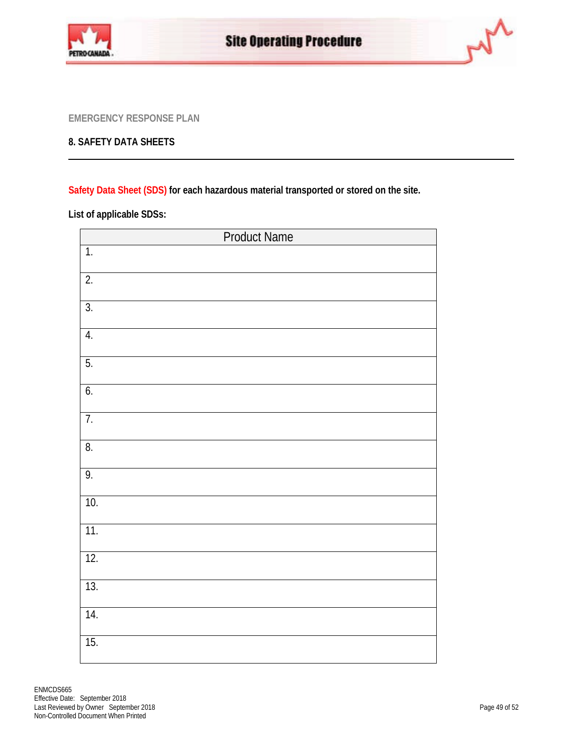



## **8. SAFETY DATA SHEETS**

**[Safety Data Sheet \(SDS\)](http://pcagateway.network.lan/EN/SafetyAndSecurity/MSDS/Pages/default.aspx) for each hazardous material transported or stored on the site.**

**List of applicable SDSs:**

| <b>Product Name</b> |  |  |
|---------------------|--|--|
| $\overline{1}$ .    |  |  |
| $\overline{2}$ .    |  |  |
| 3.                  |  |  |
| 4.                  |  |  |
| 5.                  |  |  |
| 6.                  |  |  |
| $\overline{7}$ .    |  |  |
| 8.                  |  |  |
| 9.                  |  |  |
| 10.                 |  |  |
| 11.                 |  |  |
| 12.                 |  |  |
| 13.                 |  |  |
| 14.                 |  |  |
| 15.                 |  |  |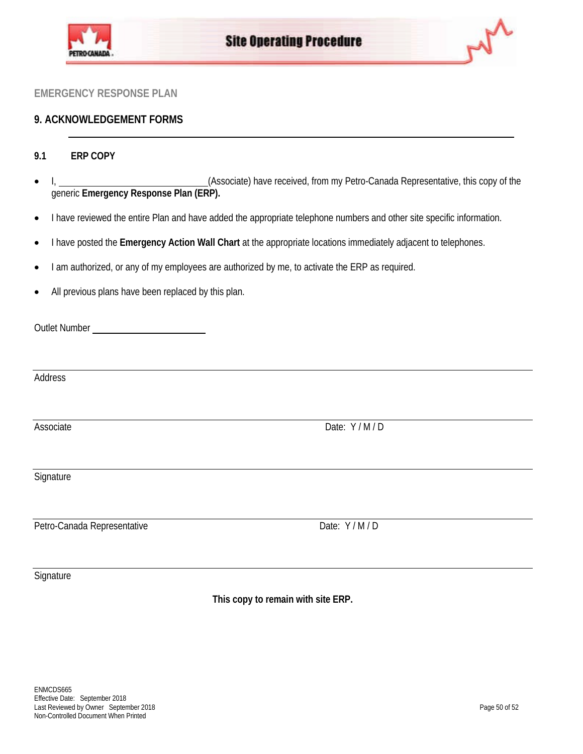



## **9. ACKNOWLEDGEMENT FORMS**

## **9.1 ERP COPY**

- I, 1. 2009 of the (Associate) have received, from my Petro-Canada Representative, this copy of the generic **Emergency Response Plan (ERP).**
- I have reviewed the entire Plan and have added the appropriate telephone numbers and other site specific information.
- I have posted the **Emergency Action Wall Chart** at the appropriate locations immediately adjacent to telephones.
- I am authorized, or any of my employees are authorized by me, to activate the ERP as required.
- All previous plans have been replaced by this plan.

Outlet Number

Address

Associate Date: Y / M / D

**Signature** 

Petro-Canada Representative Date: Y / M / D

**Signature** 

**This copy to remain with site ERP.**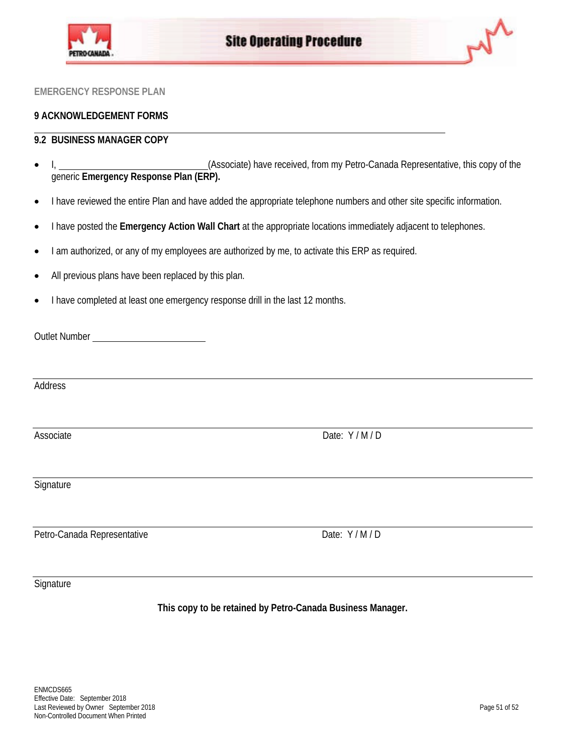



## **9 ACKNOWLEDGEMENT FORMS**

## **9.2 BUSINESS MANAGER COPY**

- I, 1. 2009 of the (Associate) have received, from my Petro-Canada Representative, this copy of the generic **Emergency Response Plan (ERP).**
- I have reviewed the entire Plan and have added the appropriate telephone numbers and other site specific information.
- I have posted the **Emergency Action Wall Chart** at the appropriate locations immediately adjacent to telephones.
- I am authorized, or any of my employees are authorized by me, to activate this ERP as required.
- All previous plans have been replaced by this plan.
- I have completed at least one emergency response drill in the last 12 months.

| <b>Outlet Number</b> |  |
|----------------------|--|
|                      |  |

Address

Associate Date: Y / M / D

**Signature** 

Petro-Canada Representative Date: Y / M / D

**Signature** 

**This copy to be retained by Petro-Canada Business Manager.**